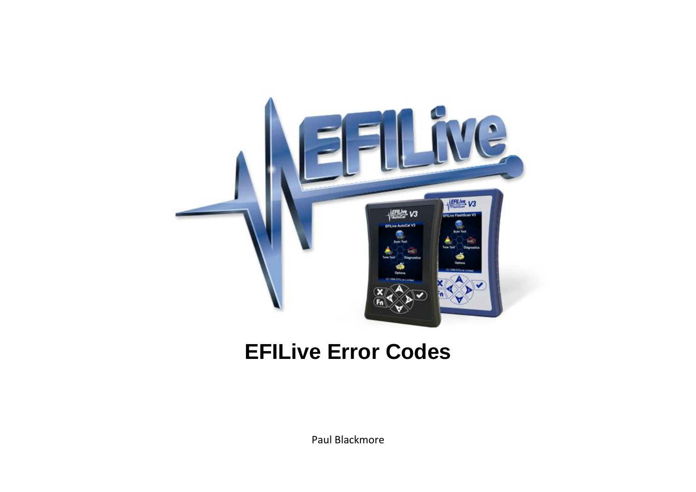

## **EFILive Error Codes**

Paul Blackmore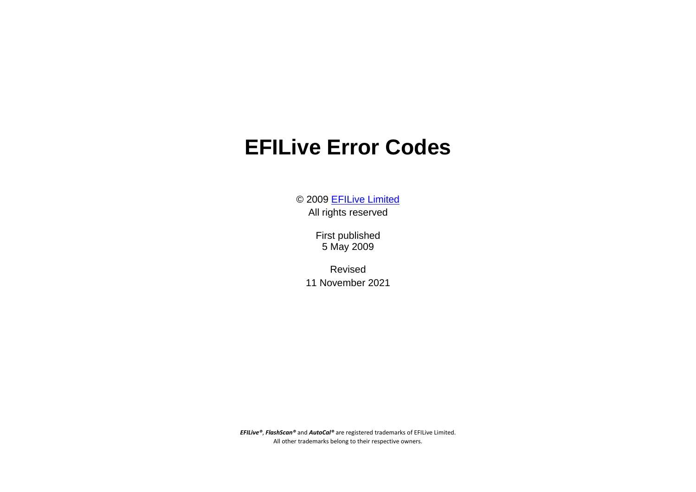## **EFILive Error Codes**

© 2009 [EFILive Limited](http://www.efilive.com/) All rights reserved

> First published 5 May 2009

Revised 11 November 2021

*EFILive®*, *FlashScan®* and *AutoCal®* are registered trademarks of EFILive Limited. All other trademarks belong to their respective owners.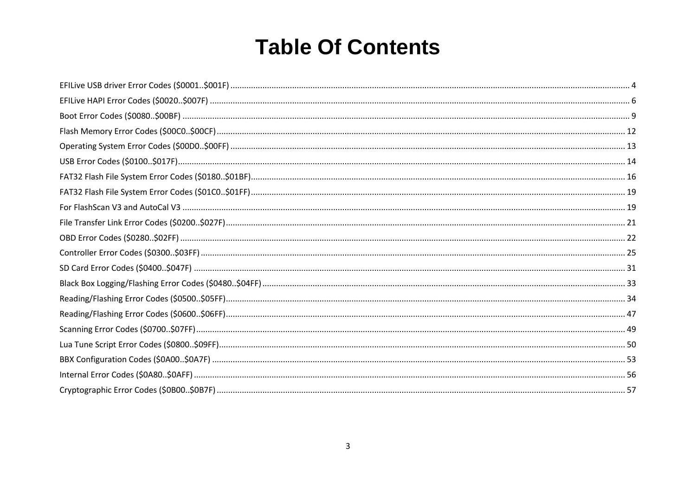## **Table Of Contents**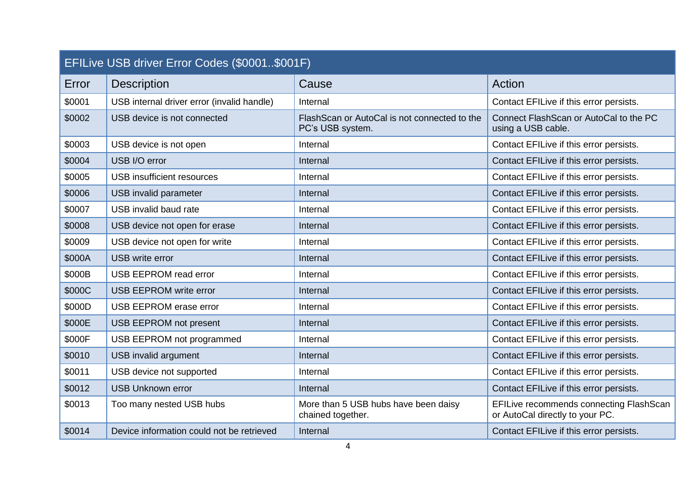<span id="page-3-0"></span>

| EFILive USB driver Error Codes (\$0001\$001F) |                                            |                                                                   |                                                                            |  |
|-----------------------------------------------|--------------------------------------------|-------------------------------------------------------------------|----------------------------------------------------------------------------|--|
| Error                                         | <b>Description</b>                         | Cause                                                             | Action                                                                     |  |
| \$0001                                        | USB internal driver error (invalid handle) | Internal                                                          | Contact EFILive if this error persists.                                    |  |
| \$0002                                        | USB device is not connected                | Flash Scan or AutoCal is not connected to the<br>PC's USB system. | Connect FlashScan or AutoCal to the PC<br>using a USB cable.               |  |
| \$0003                                        | USB device is not open                     | Internal                                                          | Contact EFILive if this error persists.                                    |  |
| \$0004                                        | USB I/O error                              | Internal                                                          | Contact EFILive if this error persists.                                    |  |
| \$0005                                        | <b>USB</b> insufficient resources          | Internal                                                          | Contact EFILive if this error persists.                                    |  |
| \$0006                                        | USB invalid parameter                      | Internal                                                          | Contact EFILive if this error persists.                                    |  |
| \$0007                                        | USB invalid baud rate                      | Internal                                                          | Contact EFILive if this error persists.                                    |  |
| \$0008                                        | USB device not open for erase              | Internal                                                          | Contact EFILive if this error persists.                                    |  |
| \$0009                                        | USB device not open for write              | Internal                                                          | Contact EFILive if this error persists.                                    |  |
| \$000A                                        | <b>USB</b> write error                     | Internal                                                          | Contact EFILive if this error persists.                                    |  |
| \$000B                                        | <b>USB EEPROM read error</b>               | Internal                                                          | Contact EFILive if this error persists.                                    |  |
| \$000C                                        | <b>USB EEPROM write error</b>              | Internal                                                          | Contact EFILive if this error persists.                                    |  |
| \$000D                                        | <b>USB EEPROM erase error</b>              | Internal                                                          | Contact EFILive if this error persists.                                    |  |
| \$000E                                        | <b>USB EEPROM not present</b>              | Internal                                                          | Contact EFILive if this error persists.                                    |  |
| \$000F                                        | USB EEPROM not programmed                  | Internal                                                          | Contact EFILive if this error persists.                                    |  |
| \$0010                                        | USB invalid argument                       | Internal                                                          | Contact EFILive if this error persists.                                    |  |
| \$0011                                        | USB device not supported                   | Internal                                                          | Contact EFILive if this error persists.                                    |  |
| \$0012                                        | <b>USB Unknown error</b>                   | Internal                                                          | Contact EFILive if this error persists.                                    |  |
| \$0013                                        | Too many nested USB hubs                   | More than 5 USB hubs have been daisy<br>chained together.         | EFILive recommends connecting FlashScan<br>or AutoCal directly to your PC. |  |
| \$0014                                        | Device information could not be retrieved  | Internal                                                          | Contact EFILive if this error persists.                                    |  |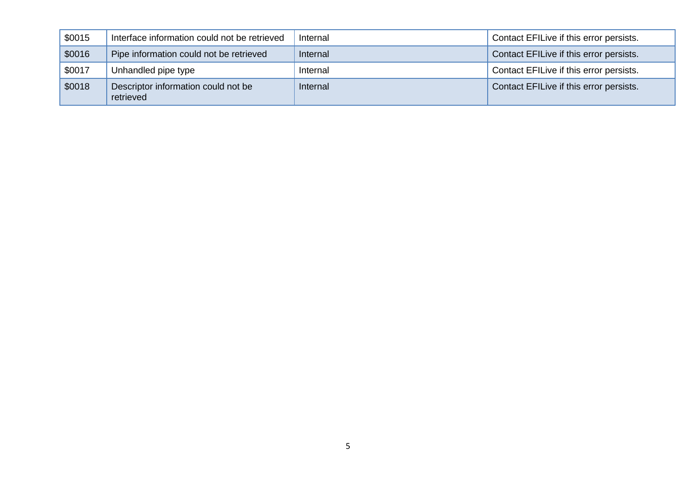| \$0015 | Interface information could not be retrieved     | Internal | Contact EFILive if this error persists. |
|--------|--------------------------------------------------|----------|-----------------------------------------|
| \$0016 | Pipe information could not be retrieved          | Internal | Contact EFILive if this error persists. |
| \$0017 | Unhandled pipe type                              | Internal | Contact EFILive if this error persists. |
| \$0018 | Descriptor information could not be<br>retrieved | Internal | Contact EFILive if this error persists. |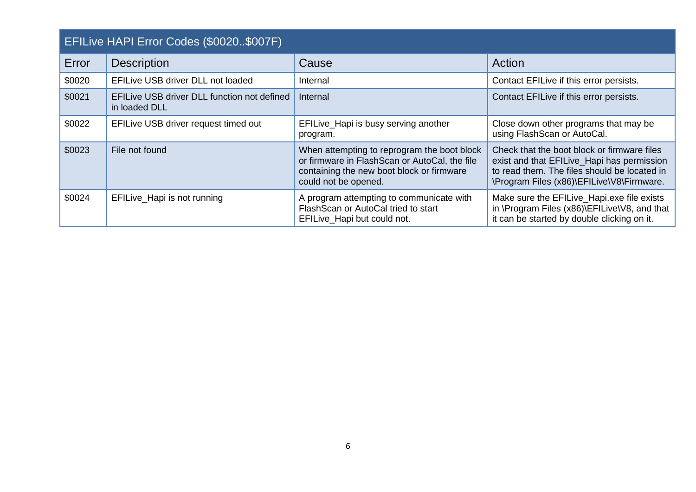<span id="page-5-0"></span>

| EFILive HAPI Error Codes (\$0020\$007F) |                                                              |                                                                                                                                                                   |                                                                                                                                                                                        |
|-----------------------------------------|--------------------------------------------------------------|-------------------------------------------------------------------------------------------------------------------------------------------------------------------|----------------------------------------------------------------------------------------------------------------------------------------------------------------------------------------|
| Error                                   | <b>Description</b>                                           | Cause                                                                                                                                                             | Action                                                                                                                                                                                 |
| \$0020                                  | EFILive USB driver DLL not loaded                            | Internal                                                                                                                                                          | Contact EFILive if this error persists.                                                                                                                                                |
| \$0021                                  | EFILive USB driver DLL function not defined<br>in loaded DLL | Internal                                                                                                                                                          | Contact EFILive if this error persists.                                                                                                                                                |
| \$0022                                  | EFILive USB driver request timed out                         | EFILive_Hapi is busy serving another<br>program.                                                                                                                  | Close down other programs that may be<br>using FlashScan or AutoCal.                                                                                                                   |
| \$0023                                  | File not found                                               | When attempting to reprogram the boot block<br>or firmware in FlashScan or AutoCal, the file<br>containing the new boot block or firmware<br>could not be opened. | Check that the boot block or firmware files<br>exist and that EFILive_Hapi has permission<br>to read them. The files should be located in<br>\Program Files (x86)\EFILive\V8\Firmware. |
| \$0024                                  | EFILive_Hapi is not running                                  | A program attempting to communicate with<br>FlashScan or AutoCal tried to start<br>EFILive_Hapi but could not.                                                    | Make sure the EFILive_Hapi.exe file exists<br>in \Program Files (x86)\EFILive\V8, and that<br>it can be started by double clicking on it.                                              |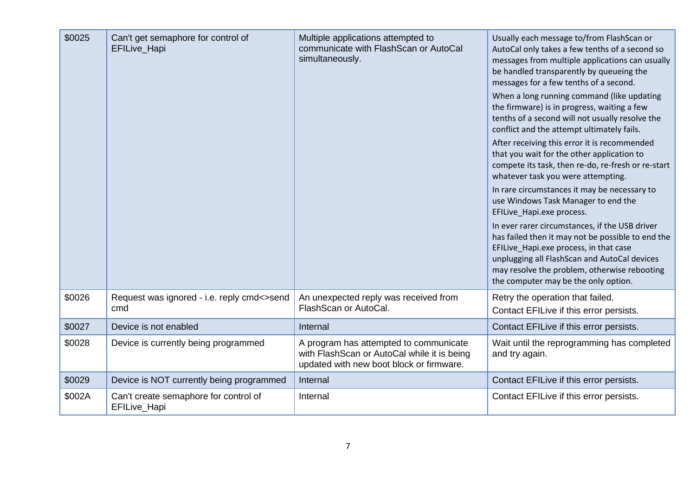| \$0025 | Can't get semaphore for control of<br>EFILive_Hapi    | Multiple applications attempted to<br>communicate with FlashScan or AutoCal<br>simultaneously.                                    | Usually each message to/from FlashScan or<br>AutoCal only takes a few tenths of a second so<br>messages from multiple applications can usually<br>be handled transparently by queueing the<br>messages for a few tenths of a second.                                                  |
|--------|-------------------------------------------------------|-----------------------------------------------------------------------------------------------------------------------------------|---------------------------------------------------------------------------------------------------------------------------------------------------------------------------------------------------------------------------------------------------------------------------------------|
|        |                                                       |                                                                                                                                   | When a long running command (like updating<br>the firmware) is in progress, waiting a few<br>tenths of a second will not usually resolve the<br>conflict and the attempt ultimately fails.                                                                                            |
|        |                                                       |                                                                                                                                   | After receiving this error it is recommended<br>that you wait for the other application to<br>compete its task, then re-do, re-fresh or re-start<br>whatever task you were attempting.                                                                                                |
|        |                                                       |                                                                                                                                   | In rare circumstances it may be necessary to<br>use Windows Task Manager to end the<br>EFILive_Hapi.exe process.                                                                                                                                                                      |
|        |                                                       |                                                                                                                                   | In ever rarer circumstances, if the USB driver<br>has failed then it may not be possible to end the<br>EFILive_Hapi.exe process, in that case<br>unplugging all FlashScan and AutoCal devices<br>may resolve the problem, otherwise rebooting<br>the computer may be the only option. |
| \$0026 | Request was ignored - i.e. reply cmd<>send<br>cmd     | An unexpected reply was received from<br>FlashScan or AutoCal.                                                                    | Retry the operation that failed.<br>Contact EFILive if this error persists.                                                                                                                                                                                                           |
| \$0027 | Device is not enabled                                 | Internal                                                                                                                          | Contact EFILive if this error persists.                                                                                                                                                                                                                                               |
| \$0028 | Device is currently being programmed                  | A program has attempted to communicate<br>with FlashScan or AutoCal while it is being<br>updated with new boot block or firmware. | Wait until the reprogramming has completed<br>and try again.                                                                                                                                                                                                                          |
| \$0029 | Device is NOT currently being programmed              | Internal                                                                                                                          | Contact EFILive if this error persists.                                                                                                                                                                                                                                               |
| \$002A | Can't create semaphore for control of<br>EFILive_Hapi | Internal                                                                                                                          | Contact EFILive if this error persists.                                                                                                                                                                                                                                               |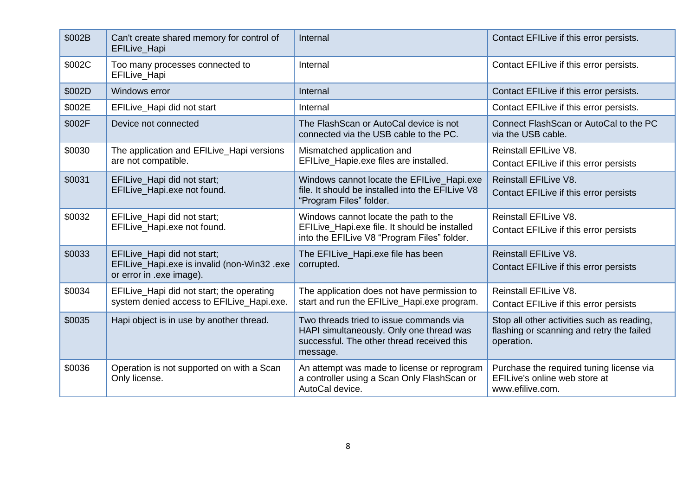| \$002B | Can't create shared memory for control of<br>EFILive_Hapi                                              | Internal                                                                                                                                      | Contact EFILive if this error persists.                                                               |
|--------|--------------------------------------------------------------------------------------------------------|-----------------------------------------------------------------------------------------------------------------------------------------------|-------------------------------------------------------------------------------------------------------|
| \$002C | Too many processes connected to<br>EFILive_Hapi                                                        | Internal                                                                                                                                      | Contact EFILive if this error persists.                                                               |
| \$002D | Windows error                                                                                          | Internal                                                                                                                                      | Contact EFILive if this error persists.                                                               |
| \$002E | EFILive_Hapi did not start                                                                             | Internal                                                                                                                                      | Contact EFILive if this error persists.                                                               |
| \$002F | Device not connected                                                                                   | The FlashScan or AutoCal device is not<br>connected via the USB cable to the PC.                                                              | Connect FlashScan or AutoCal to the PC<br>via the USB cable.                                          |
| \$0030 | The application and EFILive_Hapi versions<br>are not compatible.                                       | Mismatched application and<br>EFILive_Hapie.exe files are installed.                                                                          | Reinstall EFILive V8.<br>Contact EFILive if this error persists                                       |
| \$0031 | EFILive_Hapi did not start;<br>EFILive_Hapi.exe not found.                                             | Windows cannot locate the EFILive_Hapi.exe<br>file. It should be installed into the EFILive V8<br>"Program Files" folder.                     | <b>Reinstall EFILive V8.</b><br>Contact EFILive if this error persists                                |
| \$0032 | EFILive_Hapi did not start;<br>EFILive_Hapi.exe not found.                                             | Windows cannot locate the path to the<br>EFILive_Hapi.exe file. It should be installed<br>into the EFILive V8 "Program Files" folder.         | Reinstall EFILive V8.<br>Contact EFILive if this error persists                                       |
| \$0033 | EFILive_Hapi did not start;<br>EFILive_Hapi.exe is invalid (non-Win32 .exe<br>or error in .exe image). | The EFILive_Hapi.exe file has been<br>corrupted.                                                                                              | Reinstall EFILive V8.<br>Contact EFILive if this error persists                                       |
| \$0034 | EFILive_Hapi did not start; the operating<br>system denied access to EFILive_Hapi.exe.                 | The application does not have permission to<br>start and run the EFILive_Hapi.exe program.                                                    | Reinstall EFILive V8.<br>Contact EFILive if this error persists                                       |
| \$0035 | Hapi object is in use by another thread.                                                               | Two threads tried to issue commands via<br>HAPI simultaneously. Only one thread was<br>successful. The other thread received this<br>message. | Stop all other activities such as reading,<br>flashing or scanning and retry the failed<br>operation. |
| \$0036 | Operation is not supported on with a Scan<br>Only license.                                             | An attempt was made to license or reprogram<br>a controller using a Scan Only FlashScan or<br>AutoCal device.                                 | Purchase the required tuning license via<br>EFILive's online web store at<br>www.efilive.com.         |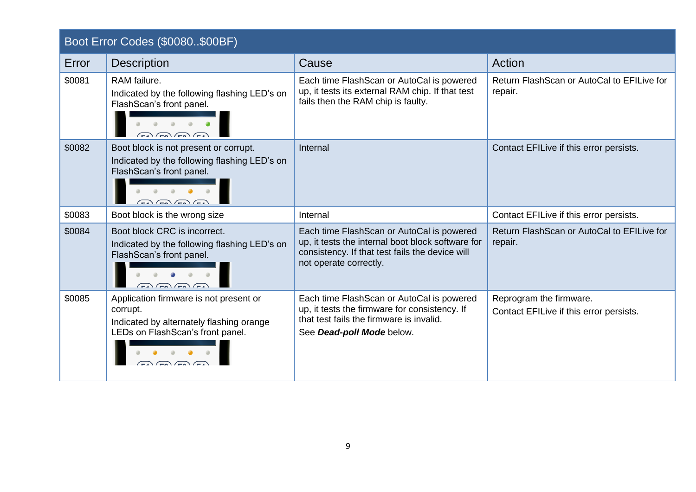<span id="page-8-0"></span>

| Boot Error Codes (\$0080\$00BF) |  |
|---------------------------------|--|
|---------------------------------|--|

| Error  | <b>Description</b>                                                                                                                              | Cause                                                                                                                                                                       | Action                                                             |
|--------|-------------------------------------------------------------------------------------------------------------------------------------------------|-----------------------------------------------------------------------------------------------------------------------------------------------------------------------------|--------------------------------------------------------------------|
| \$0081 | RAM failure.<br>Indicated by the following flashing LED's on<br>FlashScan's front panel.<br>$\Box$ $\Box$ $\Box$                                | Each time FlashScan or AutoCal is powered<br>up, it tests its external RAM chip. If that test<br>fails then the RAM chip is faulty.                                         | Return FlashScan or AutoCal to EFILive for<br>repair.              |
| \$0082 | Boot block is not present or corrupt.<br>Indicated by the following flashing LED's on<br>FlashScan's front panel.<br>$\sqrt{2}$                 | Internal                                                                                                                                                                    | Contact EFILive if this error persists.                            |
| \$0083 | Boot block is the wrong size                                                                                                                    | Internal                                                                                                                                                                    | Contact EFILive if this error persists.                            |
| \$0084 | Boot block CRC is incorrect.<br>Indicated by the following flashing LED's on<br>FlashScan's front panel.<br>$\sqrt{50}$ $\sqrt{50}$ $\sqrt{54}$ | Each time FlashScan or AutoCal is powered<br>up, it tests the internal boot block software for<br>consistency. If that test fails the device will<br>not operate correctly. | Return FlashScan or AutoCal to EFILive for<br>repair.              |
| \$0085 | Application firmware is not present or<br>corrupt.<br>Indicated by alternately flashing orange<br>LEDs on FlashScan's front panel.              | Each time FlashScan or AutoCal is powered<br>up, it tests the firmware for consistency. If<br>that test fails the firmware is invalid.<br>See Dead-poll Mode below.         | Reprogram the firmware.<br>Contact EFILive if this error persists. |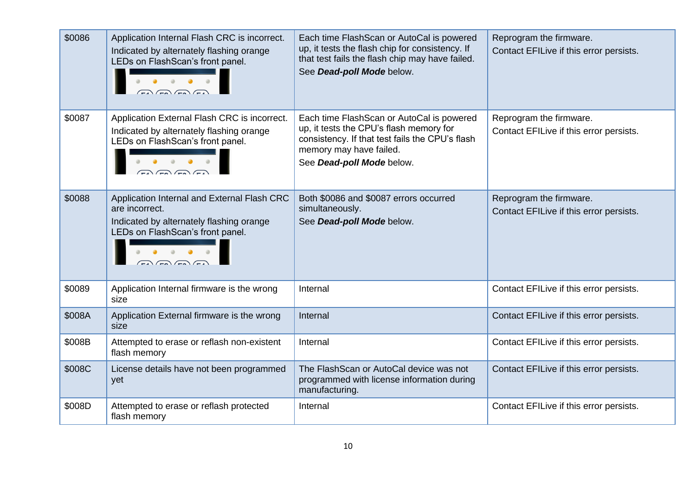| \$0086 | Application Internal Flash CRC is incorrect.<br>Indicated by alternately flashing orange<br>LEDs on FlashScan's front panel.                                | Each time FlashScan or AutoCal is powered<br>up, it tests the flash chip for consistency. If<br>that test fails the flash chip may have failed.<br>See Dead-poll Mode below.                    | Reprogram the firmware.<br>Contact EFILive if this error persists. |
|--------|-------------------------------------------------------------------------------------------------------------------------------------------------------------|-------------------------------------------------------------------------------------------------------------------------------------------------------------------------------------------------|--------------------------------------------------------------------|
| \$0087 | Application External Flash CRC is incorrect.<br>Indicated by alternately flashing orange<br>LEDs on FlashScan's front panel.                                | Each time FlashScan or AutoCal is powered<br>up, it tests the CPU's flash memory for<br>consistency. If that test fails the CPU's flash<br>memory may have failed.<br>See Dead-poll Mode below. | Reprogram the firmware.<br>Contact EFILive if this error persists. |
| \$0088 | Application Internal and External Flash CRC<br>are incorrect.<br>Indicated by alternately flashing orange<br>LEDs on FlashScan's front panel.<br>$\sqrt{2}$ | Both \$0086 and \$0087 errors occurred<br>simultaneously.<br>See Dead-poll Mode below.                                                                                                          | Reprogram the firmware.<br>Contact EFILive if this error persists. |
| \$0089 | Application Internal firmware is the wrong<br>size                                                                                                          | Internal                                                                                                                                                                                        | Contact EFILive if this error persists.                            |
| \$008A | Application External firmware is the wrong<br>size                                                                                                          | Internal                                                                                                                                                                                        | Contact EFILive if this error persists.                            |
| \$008B | Attempted to erase or reflash non-existent<br>flash memory                                                                                                  | Internal                                                                                                                                                                                        | Contact EFILive if this error persists.                            |
| \$008C | License details have not been programmed<br>yet                                                                                                             | The FlashScan or AutoCal device was not<br>programmed with license information during<br>manufacturing.                                                                                         | Contact EFILive if this error persists.                            |
| \$008D | Attempted to erase or reflash protected<br>flash memory                                                                                                     | Internal                                                                                                                                                                                        | Contact EFILive if this error persists.                            |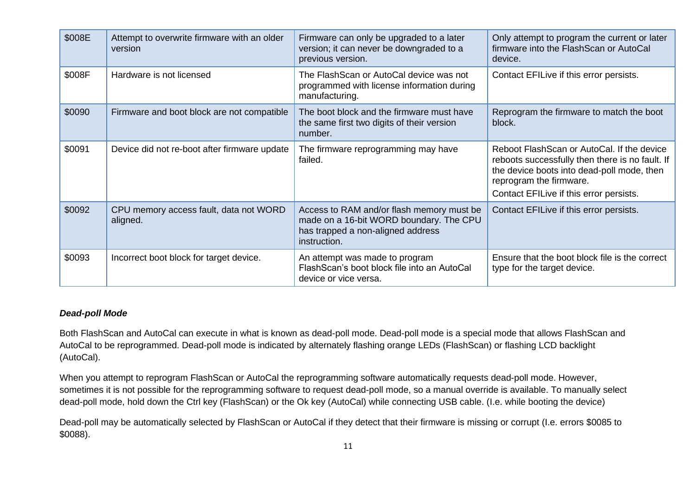| \$008E | Attempt to overwrite firmware with an older<br>version | Firmware can only be upgraded to a later<br>version; it can never be downgraded to a<br>previous version.                                 | Only attempt to program the current or later<br>firmware into the FlashScan or AutoCal<br>device.                                                                                                                 |
|--------|--------------------------------------------------------|-------------------------------------------------------------------------------------------------------------------------------------------|-------------------------------------------------------------------------------------------------------------------------------------------------------------------------------------------------------------------|
| \$008F | Hardware is not licensed                               | The FlashScan or AutoCal device was not<br>programmed with license information during<br>manufacturing.                                   | Contact EFILive if this error persists.                                                                                                                                                                           |
| \$0090 | Firmware and boot block are not compatible             | The boot block and the firmware must have<br>the same first two digits of their version<br>number.                                        | Reprogram the firmware to match the boot<br>block.                                                                                                                                                                |
| \$0091 | Device did not re-boot after firmware update           | The firmware reprogramming may have<br>failed.                                                                                            | Reboot FlashScan or AutoCal. If the device<br>reboots successfully then there is no fault. If<br>the device boots into dead-poll mode, then<br>reprogram the firmware.<br>Contact EFILive if this error persists. |
| \$0092 | CPU memory access fault, data not WORD<br>aligned.     | Access to RAM and/or flash memory must be<br>made on a 16-bit WORD boundary. The CPU<br>has trapped a non-aligned address<br>instruction. | Contact EFILive if this error persists.                                                                                                                                                                           |
| \$0093 | Incorrect boot block for target device.                | An attempt was made to program<br>FlashScan's boot block file into an AutoCal<br>device or vice versa.                                    | Ensure that the boot block file is the correct<br>type for the target device.                                                                                                                                     |

## *Dead-poll Mode*

Both FlashScan and AutoCal can execute in what is known as dead-poll mode. Dead-poll mode is a special mode that allows FlashScan and AutoCal to be reprogrammed. Dead-poll mode is indicated by alternately flashing orange LEDs (FlashScan) or flashing LCD backlight (AutoCal).

When you attempt to reprogram FlashScan or AutoCal the reprogramming software automatically requests dead-poll mode. However, sometimes it is not possible for the reprogramming software to request dead-poll mode, so a manual override is available. To manually select dead-poll mode, hold down the Ctrl key (FlashScan) or the Ok key (AutoCal) while connecting USB cable. (I.e. while booting the device)

Dead-poll may be automatically selected by FlashScan or AutoCal if they detect that their firmware is missing or corrupt (I.e. errors \$0085 to \$0088).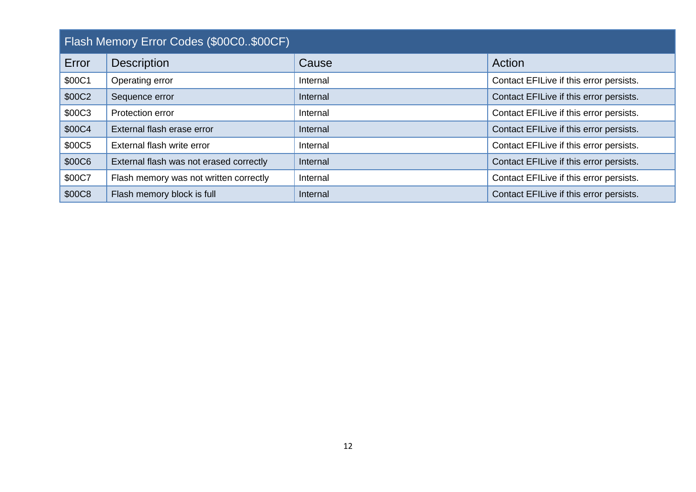<span id="page-11-0"></span>

| Flash Memory Error Codes (\$00C0\$00CF) |                                         |          |                                         |
|-----------------------------------------|-----------------------------------------|----------|-----------------------------------------|
| Error                                   | <b>Description</b>                      | Cause    | Action                                  |
| \$00C1                                  | Operating error                         | Internal | Contact EFILive if this error persists. |
| \$00C2                                  | Sequence error                          | Internal | Contact EFILive if this error persists. |
| \$00C3                                  | Protection error                        | Internal | Contact EFILive if this error persists. |
| \$00C4                                  | External flash erase error              | Internal | Contact EFILive if this error persists. |
| \$00C5                                  | External flash write error              | Internal | Contact EFILive if this error persists. |
| \$00C6                                  | External flash was not erased correctly | Internal | Contact EFILive if this error persists. |
| \$00C7                                  | Flash memory was not written correctly  | Internal | Contact EFILive if this error persists. |
| \$00C8                                  | Flash memory block is full              | Internal | Contact EFILive if this error persists. |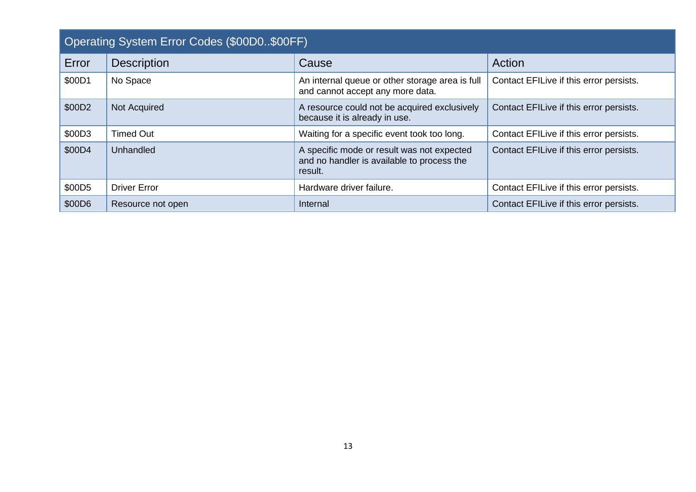<span id="page-12-0"></span>

| Operating System Error Codes (\$00D0\$00FF) |                     |                                                                                                     |                                         |  |
|---------------------------------------------|---------------------|-----------------------------------------------------------------------------------------------------|-----------------------------------------|--|
| Error                                       | <b>Description</b>  | Cause                                                                                               | Action                                  |  |
| \$00D1                                      | No Space            | An internal queue or other storage area is full<br>and cannot accept any more data.                 | Contact EFILive if this error persists. |  |
| \$00D2                                      | Not Acquired        | A resource could not be acquired exclusively<br>because it is already in use.                       | Contact EFILive if this error persists. |  |
| \$00D3                                      | <b>Timed Out</b>    | Waiting for a specific event took too long.                                                         | Contact EFILive if this error persists. |  |
| \$00D4                                      | Unhandled           | A specific mode or result was not expected<br>and no handler is available to process the<br>result. | Contact EFILive if this error persists. |  |
| \$00D5                                      | <b>Driver Error</b> | Hardware driver failure.                                                                            | Contact EFILive if this error persists. |  |
| \$00D6                                      | Resource not open   | Internal                                                                                            | Contact EFILive if this error persists. |  |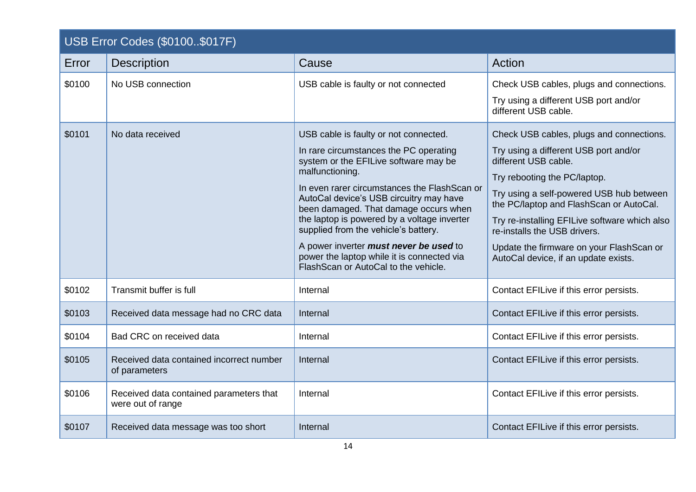<span id="page-13-0"></span>

| USB Error Codes (\$0100\$017F) |                                                              |                                                                                                                                                                                                                                                                                                                                                                                                                                                                                                         |                                                                                                                                                                                                                                                                                                                                                                                                       |
|--------------------------------|--------------------------------------------------------------|---------------------------------------------------------------------------------------------------------------------------------------------------------------------------------------------------------------------------------------------------------------------------------------------------------------------------------------------------------------------------------------------------------------------------------------------------------------------------------------------------------|-------------------------------------------------------------------------------------------------------------------------------------------------------------------------------------------------------------------------------------------------------------------------------------------------------------------------------------------------------------------------------------------------------|
| Error                          | <b>Description</b>                                           | Cause                                                                                                                                                                                                                                                                                                                                                                                                                                                                                                   | Action                                                                                                                                                                                                                                                                                                                                                                                                |
| \$0100                         | No USB connection                                            | USB cable is faulty or not connected                                                                                                                                                                                                                                                                                                                                                                                                                                                                    | Check USB cables, plugs and connections.<br>Try using a different USB port and/or<br>different USB cable.                                                                                                                                                                                                                                                                                             |
| \$0101                         | No data received                                             | USB cable is faulty or not connected.<br>In rare circumstances the PC operating<br>system or the EFILive software may be<br>malfunctioning.<br>In even rarer circumstances the FlashScan or<br>AutoCal device's USB circuitry may have<br>been damaged. That damage occurs when<br>the laptop is powered by a voltage inverter<br>supplied from the vehicle's battery.<br>A power inverter must never be used to<br>power the laptop while it is connected via<br>Flash Scan or AutoCal to the vehicle. | Check USB cables, plugs and connections.<br>Try using a different USB port and/or<br>different USB cable.<br>Try rebooting the PC/laptop.<br>Try using a self-powered USB hub between<br>the PC/laptop and FlashScan or AutoCal.<br>Try re-installing EFILive software which also<br>re-installs the USB drivers.<br>Update the firmware on your FlashScan or<br>AutoCal device, if an update exists. |
| \$0102                         | Transmit buffer is full                                      | Internal                                                                                                                                                                                                                                                                                                                                                                                                                                                                                                | Contact EFILive if this error persists.                                                                                                                                                                                                                                                                                                                                                               |
| \$0103                         | Received data message had no CRC data                        | Internal                                                                                                                                                                                                                                                                                                                                                                                                                                                                                                | Contact EFILive if this error persists.                                                                                                                                                                                                                                                                                                                                                               |
| \$0104                         | Bad CRC on received data                                     | Internal                                                                                                                                                                                                                                                                                                                                                                                                                                                                                                | Contact EFILive if this error persists.                                                                                                                                                                                                                                                                                                                                                               |
| \$0105                         | Received data contained incorrect number<br>of parameters    | Internal                                                                                                                                                                                                                                                                                                                                                                                                                                                                                                | Contact EFILive if this error persists.                                                                                                                                                                                                                                                                                                                                                               |
| \$0106                         | Received data contained parameters that<br>were out of range | Internal                                                                                                                                                                                                                                                                                                                                                                                                                                                                                                | Contact EFILive if this error persists.                                                                                                                                                                                                                                                                                                                                                               |
| \$0107                         | Received data message was too short                          | Internal                                                                                                                                                                                                                                                                                                                                                                                                                                                                                                | Contact EFILive if this error persists.                                                                                                                                                                                                                                                                                                                                                               |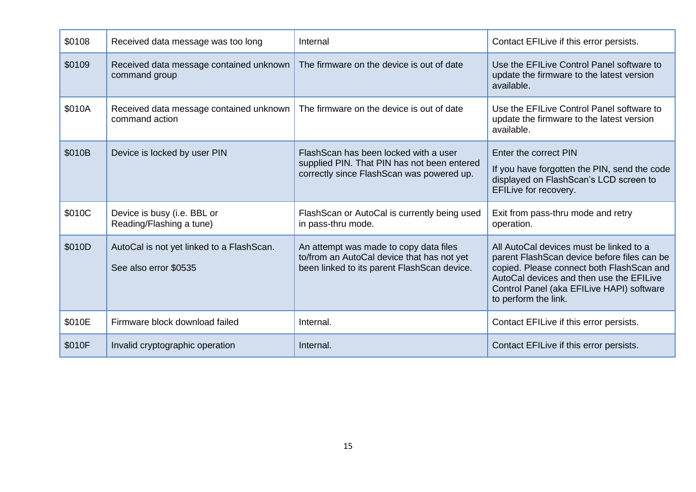| \$0108 | Received data message was too long                                 | Internal                                                                                                                            | Contact EFILive if this error persists.                                                                                                                                                                                                              |
|--------|--------------------------------------------------------------------|-------------------------------------------------------------------------------------------------------------------------------------|------------------------------------------------------------------------------------------------------------------------------------------------------------------------------------------------------------------------------------------------------|
| \$0109 | Received data message contained unknown<br>command group           | The firmware on the device is out of date                                                                                           | Use the EFILive Control Panel software to<br>update the firmware to the latest version<br>available.                                                                                                                                                 |
| \$010A | Received data message contained unknown<br>command action          | The firmware on the device is out of date                                                                                           | Use the EFILive Control Panel software to<br>update the firmware to the latest version<br>available.                                                                                                                                                 |
| \$010B | Device is locked by user PIN                                       | Flash Scan has been locked with a user<br>supplied PIN. That PIN has not been entered<br>correctly since FlashScan was powered up.  | Enter the correct PIN<br>If you have forgotten the PIN, send the code<br>displayed on FlashScan's LCD screen to<br>EFILive for recovery.                                                                                                             |
| \$010C | Device is busy (i.e. BBL or<br>Reading/Flashing a tune)            | FlashScan or AutoCal is currently being used<br>in pass-thru mode.                                                                  | Exit from pass-thru mode and retry<br>operation.                                                                                                                                                                                                     |
| \$010D | AutoCal is not yet linked to a FlashScan.<br>See also error \$0535 | An attempt was made to copy data files<br>to/from an AutoCal device that has not yet<br>been linked to its parent FlashScan device. | All AutoCal devices must be linked to a<br>parent FlashScan device before files can be<br>copied. Please connect both FlashScan and<br>AutoCal devices and then use the EFILive<br>Control Panel (aka EFILive HAPI) software<br>to perform the link. |
| \$010E | Firmware block download failed                                     | Internal.                                                                                                                           | Contact EFILive if this error persists.                                                                                                                                                                                                              |
| \$010F | Invalid cryptographic operation                                    | Internal.                                                                                                                           | Contact EFILive if this error persists.                                                                                                                                                                                                              |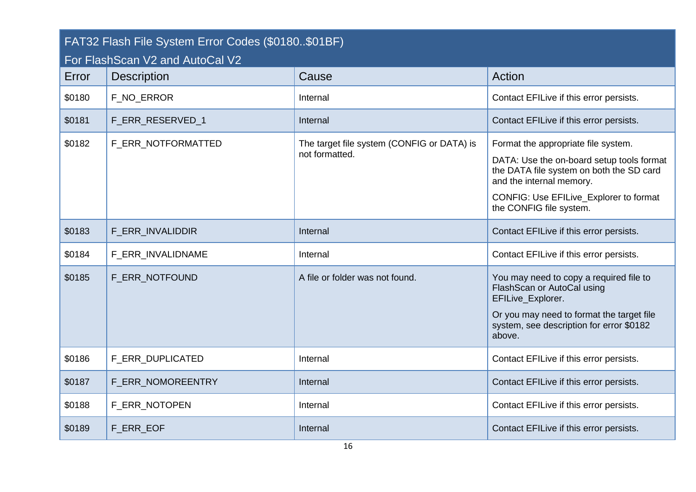<span id="page-15-0"></span>

| FAT32 Flash File System Error Codes (\$0180\$01BF)<br>For FlashScan V2 and AutoCal V2 |                    |                                                              |                                                                                                                                                                                                                               |
|---------------------------------------------------------------------------------------|--------------------|--------------------------------------------------------------|-------------------------------------------------------------------------------------------------------------------------------------------------------------------------------------------------------------------------------|
| Error                                                                                 | <b>Description</b> | Cause                                                        | Action                                                                                                                                                                                                                        |
| \$0180                                                                                | F_NO_ERROR         | Internal                                                     | Contact EFILive if this error persists.                                                                                                                                                                                       |
| \$0181                                                                                | F_ERR_RESERVED_1   | Internal                                                     | Contact EFILive if this error persists.                                                                                                                                                                                       |
| \$0182                                                                                | F ERR NOTFORMATTED | The target file system (CONFIG or DATA) is<br>not formatted. | Format the appropriate file system.<br>DATA: Use the on-board setup tools format<br>the DATA file system on both the SD card<br>and the internal memory.<br>CONFIG: Use EFILive_Explorer to format<br>the CONFIG file system. |
| \$0183                                                                                | F_ERR_INVALIDDIR   | Internal                                                     | Contact EFILive if this error persists.                                                                                                                                                                                       |
| \$0184                                                                                | F_ERR_INVALIDNAME  | Internal                                                     | Contact EFILive if this error persists.                                                                                                                                                                                       |
| \$0185                                                                                | F ERR NOTFOUND     | A file or folder was not found.                              | You may need to copy a required file to<br>FlashScan or AutoCal using<br>EFILive_Explorer.<br>Or you may need to format the target file<br>system, see description for error \$0182<br>above.                                 |
| \$0186                                                                                | F_ERR_DUPLICATED   | Internal                                                     | Contact EFILive if this error persists.                                                                                                                                                                                       |
| \$0187                                                                                | F_ERR_NOMOREENTRY  | Internal                                                     | Contact EFILive if this error persists.                                                                                                                                                                                       |
| \$0188                                                                                | F_ERR_NOTOPEN      | Internal                                                     | Contact EFILive if this error persists.                                                                                                                                                                                       |
| \$0189                                                                                | F ERR EOF          | Internal                                                     | Contact EFILive if this error persists.                                                                                                                                                                                       |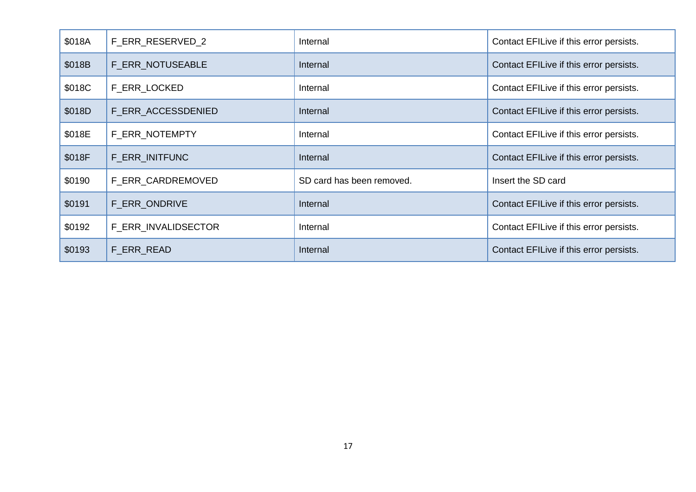| \$018A | F_ERR_RESERVED_2    | Internal                  | Contact EFILive if this error persists. |
|--------|---------------------|---------------------------|-----------------------------------------|
| \$018B | F_ERR_NOTUSEABLE    | Internal                  | Contact EFILive if this error persists. |
| \$018C | F_ERR_LOCKED        | Internal                  | Contact EFILive if this error persists. |
| \$018D | F ERR ACCESSDENIED  | Internal                  | Contact EFILive if this error persists. |
| \$018E | F_ERR_NOTEMPTY      | Internal                  | Contact EFILive if this error persists. |
| \$018F | F ERR INITFUNC      | Internal                  | Contact EFILive if this error persists. |
| \$0190 | F_ERR_CARDREMOVED   | SD card has been removed. | Insert the SD card                      |
| \$0191 | F ERR ONDRIVE       | Internal                  | Contact EFILive if this error persists. |
| \$0192 | F_ERR_INVALIDSECTOR | Internal                  | Contact EFILive if this error persists. |
| \$0193 | F_ERR_READ          | Internal                  | Contact EFILive if this error persists. |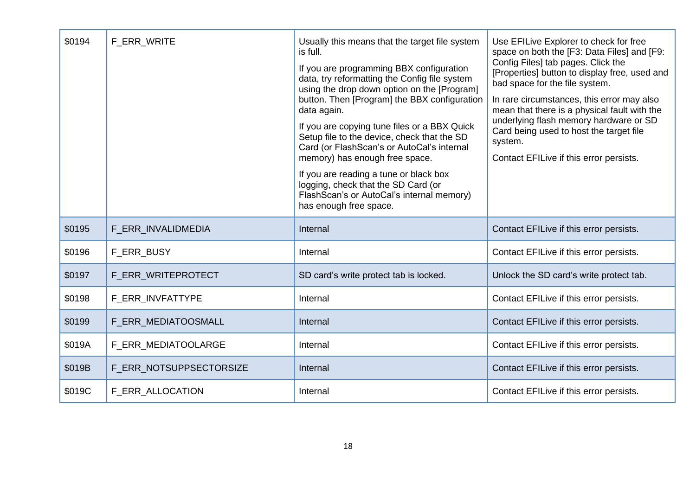| \$0194 | F_ERR_WRITE             | Usually this means that the target file system<br>is full.<br>If you are programming BBX configuration<br>data, try reformatting the Config file system<br>using the drop down option on the [Program]<br>button. Then [Program] the BBX configuration<br>data again.<br>If you are copying tune files or a BBX Quick<br>Setup file to the device, check that the SD<br>Card (or FlashScan's or AutoCal's internal<br>memory) has enough free space.<br>If you are reading a tune or black box<br>logging, check that the SD Card (or<br>FlashScan's or AutoCal's internal memory)<br>has enough free space. | Use EFILive Explorer to check for free<br>space on both the [F3: Data Files] and [F9:<br>Config Files] tab pages. Click the<br>[Properties] button to display free, used and<br>bad space for the file system.<br>In rare circumstances, this error may also<br>mean that there is a physical fault with the<br>underlying flash memory hardware or SD<br>Card being used to host the target file<br>system.<br>Contact EFILive if this error persists. |
|--------|-------------------------|--------------------------------------------------------------------------------------------------------------------------------------------------------------------------------------------------------------------------------------------------------------------------------------------------------------------------------------------------------------------------------------------------------------------------------------------------------------------------------------------------------------------------------------------------------------------------------------------------------------|---------------------------------------------------------------------------------------------------------------------------------------------------------------------------------------------------------------------------------------------------------------------------------------------------------------------------------------------------------------------------------------------------------------------------------------------------------|
| \$0195 | F_ERR_INVALIDMEDIA      | Internal                                                                                                                                                                                                                                                                                                                                                                                                                                                                                                                                                                                                     | Contact EFILive if this error persists.                                                                                                                                                                                                                                                                                                                                                                                                                 |
| \$0196 | F_ERR_BUSY              | Internal                                                                                                                                                                                                                                                                                                                                                                                                                                                                                                                                                                                                     | Contact EFILive if this error persists.                                                                                                                                                                                                                                                                                                                                                                                                                 |
| \$0197 | F_ERR_WRITEPROTECT      | SD card's write protect tab is locked.                                                                                                                                                                                                                                                                                                                                                                                                                                                                                                                                                                       | Unlock the SD card's write protect tab.                                                                                                                                                                                                                                                                                                                                                                                                                 |
| \$0198 | F ERR INVFATTYPE        | Internal                                                                                                                                                                                                                                                                                                                                                                                                                                                                                                                                                                                                     | Contact EFILive if this error persists.                                                                                                                                                                                                                                                                                                                                                                                                                 |
| \$0199 | F ERR MEDIATOOSMALL     | Internal                                                                                                                                                                                                                                                                                                                                                                                                                                                                                                                                                                                                     | Contact EFILive if this error persists.                                                                                                                                                                                                                                                                                                                                                                                                                 |
| \$019A | F ERR MEDIATOOLARGE     | Internal                                                                                                                                                                                                                                                                                                                                                                                                                                                                                                                                                                                                     | Contact EFILive if this error persists.                                                                                                                                                                                                                                                                                                                                                                                                                 |
| \$019B | F_ERR_NOTSUPPSECTORSIZE | Internal                                                                                                                                                                                                                                                                                                                                                                                                                                                                                                                                                                                                     | Contact EFILive if this error persists.                                                                                                                                                                                                                                                                                                                                                                                                                 |
| \$019C | F ERR ALLOCATION        | Internal                                                                                                                                                                                                                                                                                                                                                                                                                                                                                                                                                                                                     | Contact EFILive if this error persists.                                                                                                                                                                                                                                                                                                                                                                                                                 |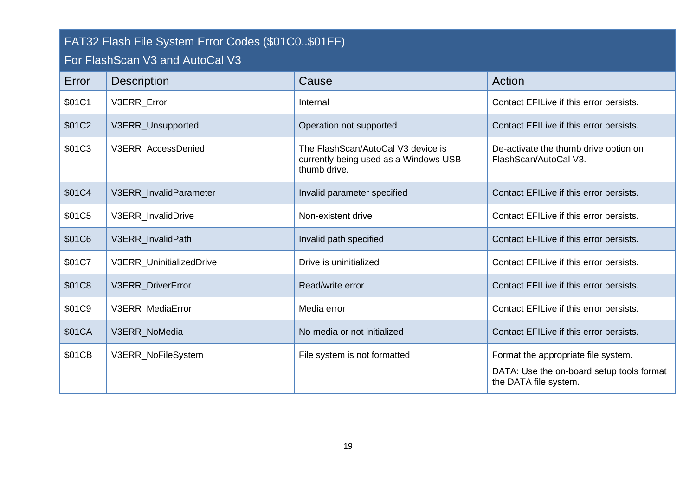<span id="page-18-1"></span><span id="page-18-0"></span>

| FAT32 Flash File System Error Codes (\$01C0\$01FF)<br>For FlashScan V3 and AutoCal V3 |                          |                                                                                             |                                                                                                           |
|---------------------------------------------------------------------------------------|--------------------------|---------------------------------------------------------------------------------------------|-----------------------------------------------------------------------------------------------------------|
| Error                                                                                 | <b>Description</b>       | Cause                                                                                       | Action                                                                                                    |
| \$01C1                                                                                | V3ERR Error              | Internal                                                                                    | Contact EFILive if this error persists.                                                                   |
| \$01C2                                                                                | V3ERR_Unsupported        | Operation not supported                                                                     | Contact EFILive if this error persists.                                                                   |
| \$01C3                                                                                | V3ERR AccessDenied       | The FlashScan/AutoCal V3 device is<br>currently being used as a Windows USB<br>thumb drive. | De-activate the thumb drive option on<br>FlashScan/AutoCal V3.                                            |
| \$01C4                                                                                | V3ERR_InvalidParameter   | Invalid parameter specified                                                                 | Contact EFILive if this error persists.                                                                   |
| \$01C5                                                                                | V3ERR InvalidDrive       | Non-existent drive                                                                          | Contact EFILive if this error persists.                                                                   |
| \$01C6                                                                                | V3ERR_InvalidPath        | Invalid path specified                                                                      | Contact EFILive if this error persists.                                                                   |
| \$01C7                                                                                | V3ERR_UninitializedDrive | Drive is uninitialized                                                                      | Contact EFILive if this error persists.                                                                   |
| <b>\$01C8</b>                                                                         | V3ERR_DriverError        | Read/write error                                                                            | Contact EFILive if this error persists.                                                                   |
| \$01C9                                                                                | V3ERR_MediaError         | Media error                                                                                 | Contact EFILive if this error persists.                                                                   |
| \$01CA                                                                                | V3ERR_NoMedia            | No media or not initialized                                                                 | Contact EFILive if this error persists.                                                                   |
| \$01CB                                                                                | V3ERR_NoFileSystem       | File system is not formatted                                                                | Format the appropriate file system.<br>DATA: Use the on-board setup tools format<br>the DATA file system. |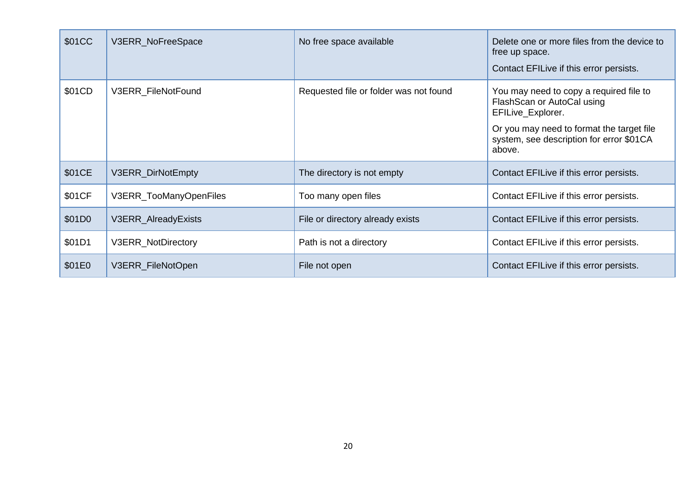| \$01CC | V3ERR_NoFreeSpace      | No free space available                | Delete one or more files from the device to<br>free up space.<br>Contact EFILive if this error persists.                                                                                      |
|--------|------------------------|----------------------------------------|-----------------------------------------------------------------------------------------------------------------------------------------------------------------------------------------------|
| \$01CD | V3ERR_FileNotFound     | Requested file or folder was not found | You may need to copy a required file to<br>FlashScan or AutoCal using<br>EFILive_Explorer.<br>Or you may need to format the target file<br>system, see description for error \$01CA<br>above. |
| \$01CE | V3ERR_DirNotEmpty      | The directory is not empty             | Contact EFILive if this error persists.                                                                                                                                                       |
| \$01CF | V3ERR_TooManyOpenFiles | Too many open files                    | Contact EFILive if this error persists.                                                                                                                                                       |
| \$01D0 | V3ERR_AlreadyExists    | File or directory already exists       | Contact EFILive if this error persists.                                                                                                                                                       |
| \$01D1 | V3ERR_NotDirectory     | Path is not a directory                | Contact EFILive if this error persists.                                                                                                                                                       |
| \$01E0 | V3ERR_FileNotOpen      | File not open                          | Contact EFILive if this error persists.                                                                                                                                                       |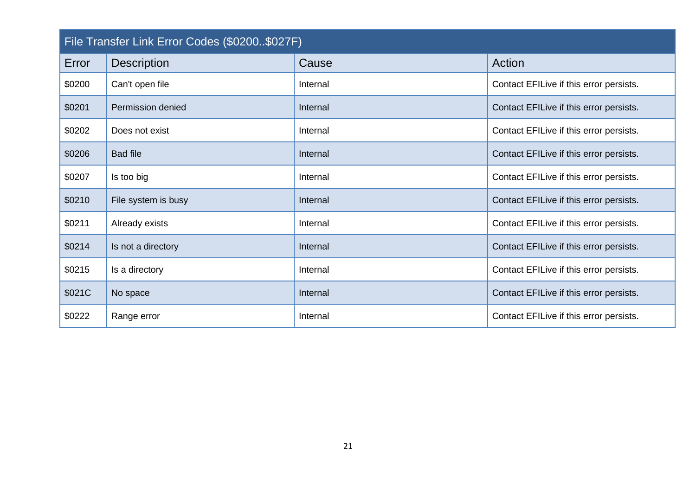<span id="page-20-0"></span>

| File Transfer Link Error Codes (\$0200\$027F) |                     |          |                                         |
|-----------------------------------------------|---------------------|----------|-----------------------------------------|
| Error                                         | <b>Description</b>  | Cause    | Action                                  |
| \$0200                                        | Can't open file     | Internal | Contact EFILive if this error persists. |
| \$0201                                        | Permission denied   | Internal | Contact EFILive if this error persists. |
| \$0202                                        | Does not exist      | Internal | Contact EFILive if this error persists. |
| \$0206                                        | <b>Bad file</b>     | Internal | Contact EFILive if this error persists. |
| \$0207                                        | Is too big          | Internal | Contact EFILive if this error persists. |
| \$0210                                        | File system is busy | Internal | Contact EFILive if this error persists. |
| \$0211                                        | Already exists      | Internal | Contact EFILive if this error persists. |
| \$0214                                        | Is not a directory  | Internal | Contact EFILive if this error persists. |
| \$0215                                        | Is a directory      | Internal | Contact EFILive if this error persists. |
| \$021C                                        | No space            | Internal | Contact EFILive if this error persists. |
| \$0222                                        | Range error         | Internal | Contact EFILive if this error persists. |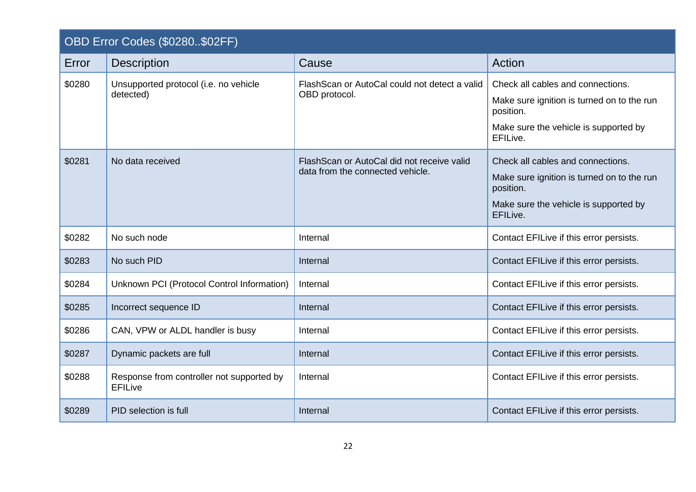<span id="page-21-0"></span>

|        | OBD Error Codes (\$0280\$02FF)                              |                                                                                |                                                                                                                                                   |  |
|--------|-------------------------------------------------------------|--------------------------------------------------------------------------------|---------------------------------------------------------------------------------------------------------------------------------------------------|--|
| Error  | <b>Description</b>                                          | Cause                                                                          | Action                                                                                                                                            |  |
| \$0280 | Unsupported protocol (i.e. no vehicle<br>detected)          | Flash Scan or Auto Cal could not detect a valid<br>OBD protocol.               | Check all cables and connections.<br>Make sure ignition is turned on to the run<br>position.<br>Make sure the vehicle is supported by<br>EFILive. |  |
| \$0281 | No data received                                            | FlashScan or AutoCal did not receive valid<br>data from the connected vehicle. | Check all cables and connections.<br>Make sure ignition is turned on to the run<br>position.<br>Make sure the vehicle is supported by<br>EFILive. |  |
| \$0282 | No such node                                                | Internal                                                                       | Contact EFILive if this error persists.                                                                                                           |  |
| \$0283 | No such PID                                                 | Internal                                                                       | Contact EFILive if this error persists.                                                                                                           |  |
| \$0284 | Unknown PCI (Protocol Control Information)                  | Internal                                                                       | Contact EFILive if this error persists.                                                                                                           |  |
| \$0285 | Incorrect sequence ID                                       | Internal                                                                       | Contact EFILive if this error persists.                                                                                                           |  |
| \$0286 | CAN, VPW or ALDL handler is busy                            | Internal                                                                       | Contact EFILive if this error persists.                                                                                                           |  |
| \$0287 | Dynamic packets are full                                    | Internal                                                                       | Contact EFILive if this error persists.                                                                                                           |  |
| \$0288 | Response from controller not supported by<br><b>EFILive</b> | Internal                                                                       | Contact EFILive if this error persists.                                                                                                           |  |
| \$0289 | PID selection is full                                       | Internal                                                                       | Contact EFILive if this error persists.                                                                                                           |  |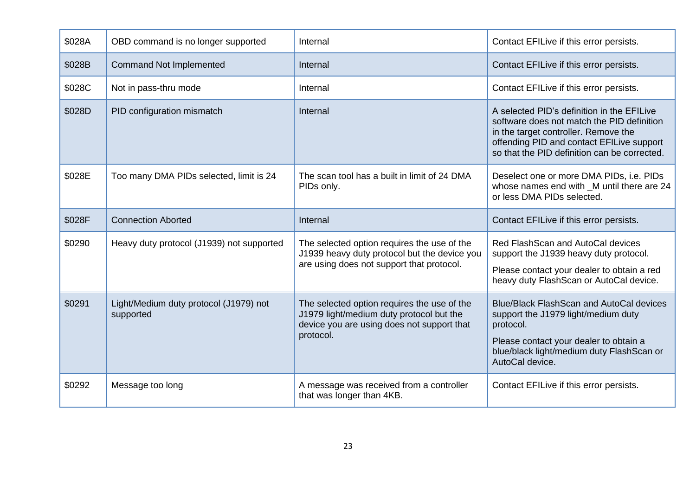| \$028A | OBD command is no longer supported                  | Internal                                                                                                                                           | Contact EFILive if this error persists.                                                                                                                                                                                       |
|--------|-----------------------------------------------------|----------------------------------------------------------------------------------------------------------------------------------------------------|-------------------------------------------------------------------------------------------------------------------------------------------------------------------------------------------------------------------------------|
| \$028B | <b>Command Not Implemented</b>                      | Internal                                                                                                                                           | Contact EFILive if this error persists.                                                                                                                                                                                       |
| \$028C | Not in pass-thru mode                               | Internal                                                                                                                                           | Contact EFILive if this error persists.                                                                                                                                                                                       |
| \$028D | PID configuration mismatch                          | Internal                                                                                                                                           | A selected PID's definition in the EFILive<br>software does not match the PID definition<br>in the target controller. Remove the<br>offending PID and contact EFILive support<br>so that the PID definition can be corrected. |
| \$028E | Too many DMA PIDs selected, limit is 24             | The scan tool has a built in limit of 24 DMA<br>PIDs only.                                                                                         | Deselect one or more DMA PIDs, i.e. PIDs<br>whose names end with _M until there are 24<br>or less DMA PIDs selected.                                                                                                          |
| \$028F | <b>Connection Aborted</b>                           | Internal                                                                                                                                           | Contact EFILive if this error persists.                                                                                                                                                                                       |
| \$0290 | Heavy duty protocol (J1939) not supported           | The selected option requires the use of the<br>J1939 heavy duty protocol but the device you<br>are using does not support that protocol.           | Red Flash Scan and Auto Cal devices<br>support the J1939 heavy duty protocol.<br>Please contact your dealer to obtain a red<br>heavy duty FlashScan or AutoCal device.                                                        |
| \$0291 | Light/Medium duty protocol (J1979) not<br>supported | The selected option requires the use of the<br>J1979 light/medium duty protocol but the<br>device you are using does not support that<br>protocol. | <b>Blue/Black FlashScan and AutoCal devices</b><br>support the J1979 light/medium duty<br>protocol.<br>Please contact your dealer to obtain a<br>blue/black light/medium duty FlashScan or<br>AutoCal device.                 |
| \$0292 | Message too long                                    | A message was received from a controller<br>that was longer than 4KB.                                                                              | Contact EFILive if this error persists.                                                                                                                                                                                       |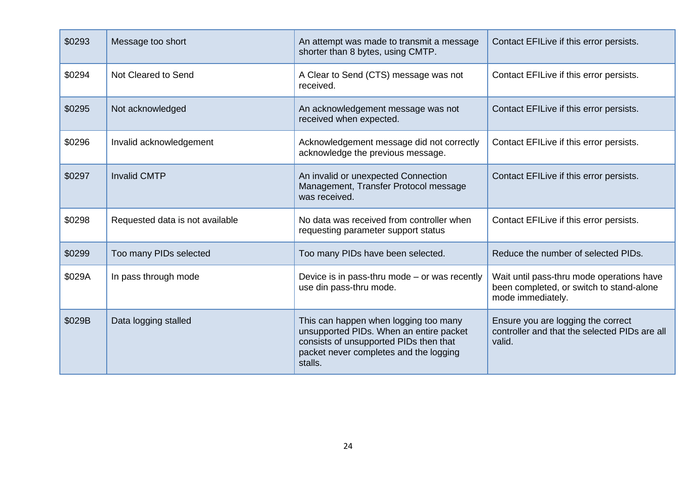| \$0293 | Message too short               | An attempt was made to transmit a message<br>shorter than 8 bytes, using CMTP.                                                                                                  | Contact EFILive if this error persists.                                                                    |
|--------|---------------------------------|---------------------------------------------------------------------------------------------------------------------------------------------------------------------------------|------------------------------------------------------------------------------------------------------------|
| \$0294 | Not Cleared to Send             | A Clear to Send (CTS) message was not<br>received.                                                                                                                              | Contact EFILive if this error persists.                                                                    |
| \$0295 | Not acknowledged                | An acknowledgement message was not<br>received when expected.                                                                                                                   | Contact EFILive if this error persists.                                                                    |
| \$0296 | Invalid acknowledgement         | Acknowledgement message did not correctly<br>acknowledge the previous message.                                                                                                  | Contact EFILive if this error persists.                                                                    |
| \$0297 | <b>Invalid CMTP</b>             | An invalid or unexpected Connection<br>Management, Transfer Protocol message<br>was received.                                                                                   | Contact EFILive if this error persists.                                                                    |
| \$0298 | Requested data is not available | No data was received from controller when<br>requesting parameter support status                                                                                                | Contact EFILive if this error persists.                                                                    |
| \$0299 | Too many PIDs selected          | Too many PIDs have been selected.                                                                                                                                               | Reduce the number of selected PIDs.                                                                        |
| \$029A | In pass through mode            | Device is in pass-thru mode $-$ or was recently<br>use din pass-thru mode.                                                                                                      | Wait until pass-thru mode operations have<br>been completed, or switch to stand-alone<br>mode immediately. |
| \$029B | Data logging stalled            | This can happen when logging too many<br>unsupported PIDs. When an entire packet<br>consists of unsupported PIDs then that<br>packet never completes and the logging<br>stalls. | Ensure you are logging the correct<br>controller and that the selected PIDs are all<br>valid.              |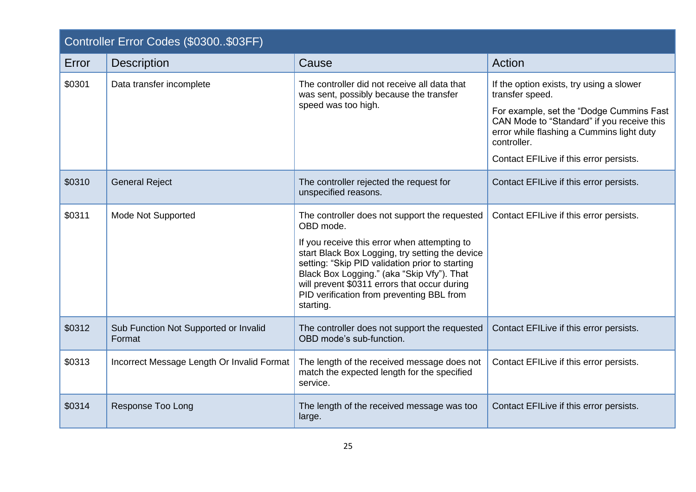<span id="page-24-0"></span>

|        | Controller Error Codes (\$0300\$03FF)           |                                                                                                                                                                                                                                                                                                                                                                          |                                                                                                                                                                                                                                                              |  |
|--------|-------------------------------------------------|--------------------------------------------------------------------------------------------------------------------------------------------------------------------------------------------------------------------------------------------------------------------------------------------------------------------------------------------------------------------------|--------------------------------------------------------------------------------------------------------------------------------------------------------------------------------------------------------------------------------------------------------------|--|
| Error  | <b>Description</b>                              | Cause                                                                                                                                                                                                                                                                                                                                                                    | Action                                                                                                                                                                                                                                                       |  |
| \$0301 | Data transfer incomplete                        | The controller did not receive all data that<br>was sent, possibly because the transfer<br>speed was too high.                                                                                                                                                                                                                                                           | If the option exists, try using a slower<br>transfer speed.<br>For example, set the "Dodge Cummins Fast<br>CAN Mode to "Standard" if you receive this<br>error while flashing a Cummins light duty<br>controller.<br>Contact EFILive if this error persists. |  |
| \$0310 | <b>General Reject</b>                           | The controller rejected the request for<br>unspecified reasons.                                                                                                                                                                                                                                                                                                          | Contact EFILive if this error persists.                                                                                                                                                                                                                      |  |
| \$0311 | <b>Mode Not Supported</b>                       | The controller does not support the requested<br>OBD mode.<br>If you receive this error when attempting to<br>start Black Box Logging, try setting the device<br>setting: "Skip PID validation prior to starting<br>Black Box Logging." (aka "Skip Vfy"). That<br>will prevent \$0311 errors that occur during<br>PID verification from preventing BBL from<br>starting. | Contact EFILive if this error persists.                                                                                                                                                                                                                      |  |
| \$0312 | Sub Function Not Supported or Invalid<br>Format | The controller does not support the requested<br>OBD mode's sub-function.                                                                                                                                                                                                                                                                                                | Contact EFILive if this error persists.                                                                                                                                                                                                                      |  |
| \$0313 | Incorrect Message Length Or Invalid Format      | The length of the received message does not<br>match the expected length for the specified<br>service.                                                                                                                                                                                                                                                                   | Contact EFILive if this error persists.                                                                                                                                                                                                                      |  |
| \$0314 | <b>Response Too Long</b>                        | The length of the received message was too<br>large.                                                                                                                                                                                                                                                                                                                     | Contact EFILive if this error persists.                                                                                                                                                                                                                      |  |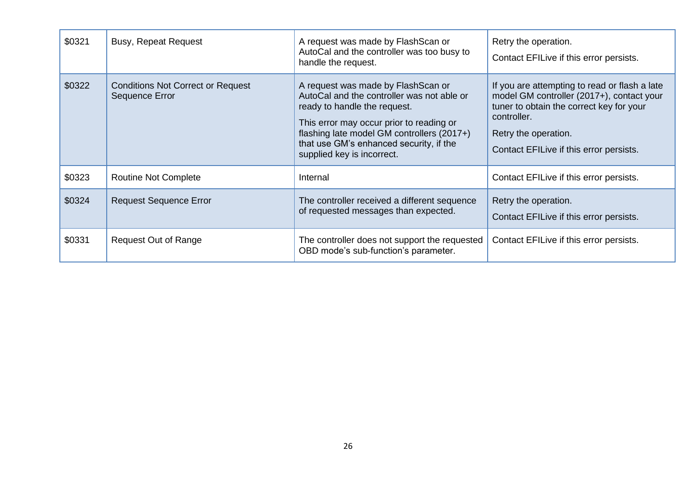| \$0321 | <b>Busy, Repeat Request</b>                                | A request was made by FlashScan or<br>AutoCal and the controller was too busy to<br>handle the request.                                                                                                                                                                             | Retry the operation.<br>Contact EFILive if this error persists.                                                                                                                                                          |
|--------|------------------------------------------------------------|-------------------------------------------------------------------------------------------------------------------------------------------------------------------------------------------------------------------------------------------------------------------------------------|--------------------------------------------------------------------------------------------------------------------------------------------------------------------------------------------------------------------------|
| \$0322 | <b>Conditions Not Correct or Request</b><br>Sequence Error | A request was made by FlashScan or<br>AutoCal and the controller was not able or<br>ready to handle the request.<br>This error may occur prior to reading or<br>flashing late model GM controllers (2017+)<br>that use GM's enhanced security, if the<br>supplied key is incorrect. | If you are attempting to read or flash a late<br>model GM controller (2017+), contact your<br>tuner to obtain the correct key for your<br>controller.<br>Retry the operation.<br>Contact EFILive if this error persists. |
| \$0323 | <b>Routine Not Complete</b>                                | Internal                                                                                                                                                                                                                                                                            | Contact EFILive if this error persists.                                                                                                                                                                                  |
| \$0324 | <b>Request Sequence Error</b>                              | The controller received a different sequence<br>of requested messages than expected.                                                                                                                                                                                                | Retry the operation.<br>Contact EFILive if this error persists.                                                                                                                                                          |
| \$0331 | <b>Request Out of Range</b>                                | The controller does not support the requested<br>OBD mode's sub-function's parameter.                                                                                                                                                                                               | Contact EFILive if this error persists.                                                                                                                                                                                  |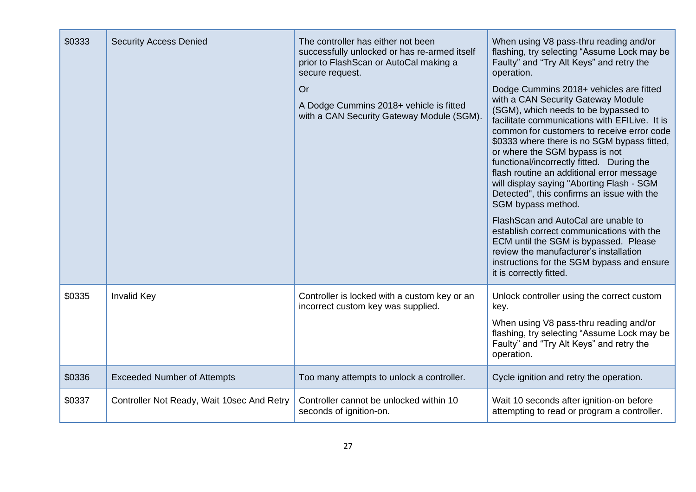| \$0333 | <b>Security Access Denied</b>              | The controller has either not been<br>successfully unlocked or has re-armed itself<br>prior to FlashScan or AutoCal making a<br>secure request.<br>Or<br>A Dodge Cummins 2018+ vehicle is fitted<br>with a CAN Security Gateway Module (SGM). | When using V8 pass-thru reading and/or<br>flashing, try selecting "Assume Lock may be<br>Faulty" and "Try Alt Keys" and retry the<br>operation.<br>Dodge Cummins 2018+ vehicles are fitted<br>with a CAN Security Gateway Module<br>(SGM), which needs to be bypassed to<br>facilitate communications with EFILive. It is<br>common for customers to receive error code<br>\$0333 where there is no SGM bypass fitted,<br>or where the SGM bypass is not<br>functional/incorrectly fitted. During the<br>flash routine an additional error message<br>will display saying "Aborting Flash - SGM<br>Detected", this confirms an issue with the<br>SGM bypass method.<br>FlashScan and AutoCal are unable to<br>establish correct communications with the<br>ECM until the SGM is bypassed. Please<br>review the manufacturer's installation<br>instructions for the SGM bypass and ensure<br>it is correctly fitted. |
|--------|--------------------------------------------|-----------------------------------------------------------------------------------------------------------------------------------------------------------------------------------------------------------------------------------------------|---------------------------------------------------------------------------------------------------------------------------------------------------------------------------------------------------------------------------------------------------------------------------------------------------------------------------------------------------------------------------------------------------------------------------------------------------------------------------------------------------------------------------------------------------------------------------------------------------------------------------------------------------------------------------------------------------------------------------------------------------------------------------------------------------------------------------------------------------------------------------------------------------------------------|
| \$0335 | <b>Invalid Key</b>                         | Controller is locked with a custom key or an<br>incorrect custom key was supplied.                                                                                                                                                            | Unlock controller using the correct custom<br>key.<br>When using V8 pass-thru reading and/or<br>flashing, try selecting "Assume Lock may be<br>Faulty" and "Try Alt Keys" and retry the<br>operation.                                                                                                                                                                                                                                                                                                                                                                                                                                                                                                                                                                                                                                                                                                               |
| \$0336 | <b>Exceeded Number of Attempts</b>         | Too many attempts to unlock a controller.                                                                                                                                                                                                     | Cycle ignition and retry the operation.                                                                                                                                                                                                                                                                                                                                                                                                                                                                                                                                                                                                                                                                                                                                                                                                                                                                             |
| \$0337 | Controller Not Ready, Wait 10sec And Retry | Controller cannot be unlocked within 10<br>seconds of ignition-on.                                                                                                                                                                            | Wait 10 seconds after ignition-on before<br>attempting to read or program a controller.                                                                                                                                                                                                                                                                                                                                                                                                                                                                                                                                                                                                                                                                                                                                                                                                                             |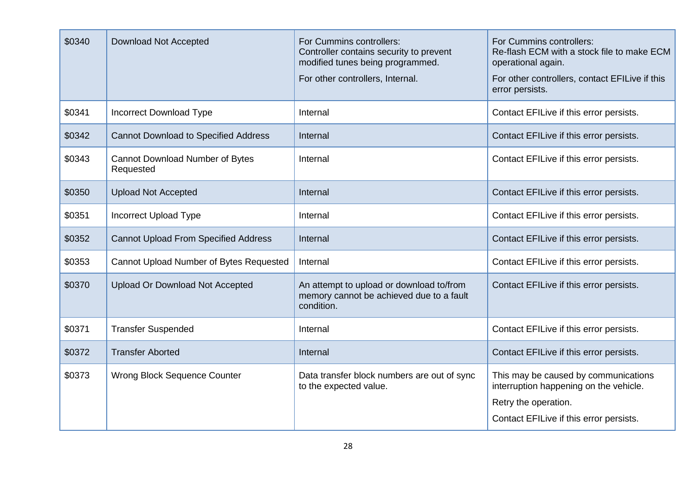| \$0340 | Download Not Accepted                               | For Cummins controllers:<br>Controller contains security to prevent<br>modified tunes being programmed.<br>For other controllers, Internal. | For Cummins controllers:<br>Re-flash ECM with a stock file to make ECM<br>operational again.<br>For other controllers, contact EFILive if this<br>error persists. |
|--------|-----------------------------------------------------|---------------------------------------------------------------------------------------------------------------------------------------------|-------------------------------------------------------------------------------------------------------------------------------------------------------------------|
| \$0341 | Incorrect Download Type                             | Internal                                                                                                                                    | Contact EFILive if this error persists.                                                                                                                           |
| \$0342 | <b>Cannot Download to Specified Address</b>         | Internal                                                                                                                                    | Contact EFILive if this error persists.                                                                                                                           |
| \$0343 | <b>Cannot Download Number of Bytes</b><br>Requested | Internal                                                                                                                                    | Contact EFILive if this error persists.                                                                                                                           |
| \$0350 | <b>Upload Not Accepted</b>                          | Internal                                                                                                                                    | Contact EFILive if this error persists.                                                                                                                           |
| \$0351 | <b>Incorrect Upload Type</b>                        | Internal                                                                                                                                    | Contact EFILive if this error persists.                                                                                                                           |
| \$0352 | <b>Cannot Upload From Specified Address</b>         | Internal                                                                                                                                    | Contact EFILive if this error persists.                                                                                                                           |
| \$0353 | Cannot Upload Number of Bytes Requested             | Internal                                                                                                                                    | Contact EFILive if this error persists.                                                                                                                           |
| \$0370 | <b>Upload Or Download Not Accepted</b>              | An attempt to upload or download to/from<br>memory cannot be achieved due to a fault<br>condition.                                          | Contact EFILive if this error persists.                                                                                                                           |
| \$0371 | <b>Transfer Suspended</b>                           | Internal                                                                                                                                    | Contact EFILive if this error persists.                                                                                                                           |
| \$0372 | <b>Transfer Aborted</b>                             | Internal                                                                                                                                    | Contact EFILive if this error persists.                                                                                                                           |
| \$0373 | <b>Wrong Block Sequence Counter</b>                 | Data transfer block numbers are out of sync<br>to the expected value.                                                                       | This may be caused by communications<br>interruption happening on the vehicle.<br>Retry the operation.<br>Contact EFILive if this error persists.                 |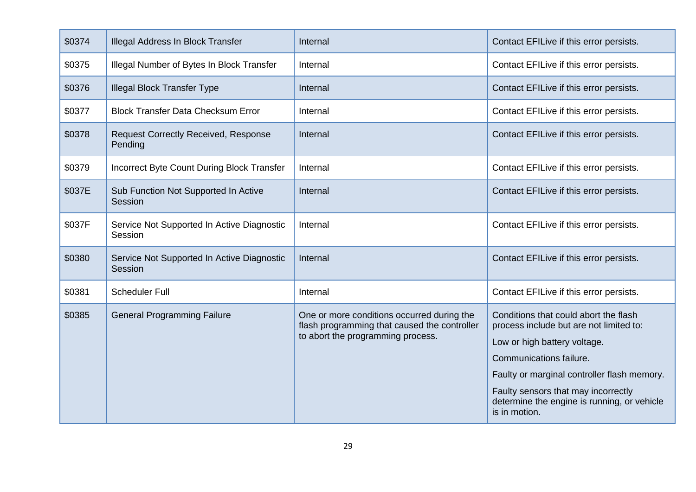| \$0374 | Illegal Address In Block Transfer                      | Internal                                                                                                                        | Contact EFILive if this error persists.                                                                                                                                                                                                                                                           |
|--------|--------------------------------------------------------|---------------------------------------------------------------------------------------------------------------------------------|---------------------------------------------------------------------------------------------------------------------------------------------------------------------------------------------------------------------------------------------------------------------------------------------------|
| \$0375 | Illegal Number of Bytes In Block Transfer              | Internal                                                                                                                        | Contact EFILive if this error persists.                                                                                                                                                                                                                                                           |
| \$0376 | <b>Illegal Block Transfer Type</b>                     | Internal                                                                                                                        | Contact EFILive if this error persists.                                                                                                                                                                                                                                                           |
| \$0377 | <b>Block Transfer Data Checksum Error</b>              | Internal                                                                                                                        | Contact EFILive if this error persists.                                                                                                                                                                                                                                                           |
| \$0378 | <b>Request Correctly Received, Response</b><br>Pending | Internal                                                                                                                        | Contact EFILive if this error persists.                                                                                                                                                                                                                                                           |
| \$0379 | Incorrect Byte Count During Block Transfer             | Internal                                                                                                                        | Contact EFILive if this error persists.                                                                                                                                                                                                                                                           |
| \$037E | Sub Function Not Supported In Active<br>Session        | Internal                                                                                                                        | Contact EFILive if this error persists.                                                                                                                                                                                                                                                           |
| \$037F | Service Not Supported In Active Diagnostic<br>Session  | Internal                                                                                                                        | Contact EFILive if this error persists.                                                                                                                                                                                                                                                           |
| \$0380 | Service Not Supported In Active Diagnostic<br>Session  | Internal                                                                                                                        | Contact EFILive if this error persists.                                                                                                                                                                                                                                                           |
| \$0381 | <b>Scheduler Full</b>                                  | Internal                                                                                                                        | Contact EFILive if this error persists.                                                                                                                                                                                                                                                           |
| \$0385 | <b>General Programming Failure</b>                     | One or more conditions occurred during the<br>flash programming that caused the controller<br>to abort the programming process. | Conditions that could abort the flash<br>process include but are not limited to:<br>Low or high battery voltage.<br>Communications failure.<br>Faulty or marginal controller flash memory.<br>Faulty sensors that may incorrectly<br>determine the engine is running, or vehicle<br>is in motion. |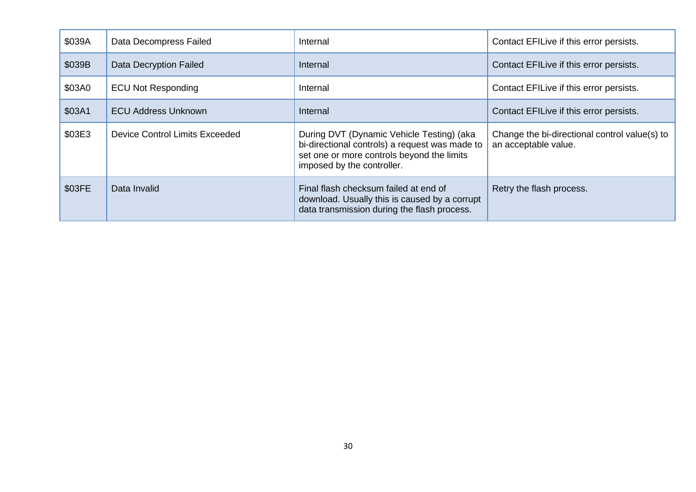| \$039A | Data Decompress Failed                | Internal                                                                                                                                                                | Contact EFILive if this error persists.                               |
|--------|---------------------------------------|-------------------------------------------------------------------------------------------------------------------------------------------------------------------------|-----------------------------------------------------------------------|
| \$039B | Data Decryption Failed                | Internal                                                                                                                                                                | Contact EFILive if this error persists.                               |
| \$03A0 | <b>ECU Not Responding</b>             | Internal                                                                                                                                                                | Contact EFILive if this error persists.                               |
| \$03A1 | <b>ECU Address Unknown</b>            | Internal                                                                                                                                                                | Contact EFILive if this error persists.                               |
| \$03E3 | <b>Device Control Limits Exceeded</b> | During DVT (Dynamic Vehicle Testing) (aka<br>bi-directional controls) a request was made to<br>set one or more controls beyond the limits<br>imposed by the controller. | Change the bi-directional control value(s) to<br>an acceptable value. |
| \$03FE | Data Invalid                          | Final flash checksum failed at end of<br>download. Usually this is caused by a corrupt<br>data transmission during the flash process.                                   | Retry the flash process.                                              |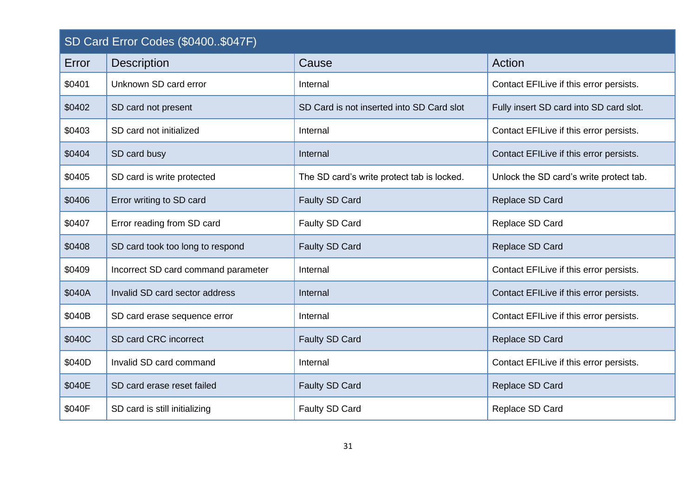<span id="page-30-0"></span>

| SD Card Error Codes (\$0400\$047F) |                                     |                                            |                                         |
|------------------------------------|-------------------------------------|--------------------------------------------|-----------------------------------------|
| Error                              | <b>Description</b>                  | Cause                                      | Action                                  |
| \$0401                             | Unknown SD card error               | Internal                                   | Contact EFILive if this error persists. |
| \$0402                             | SD card not present                 | SD Card is not inserted into SD Card slot  | Fully insert SD card into SD card slot. |
| \$0403                             | SD card not initialized             | Internal                                   | Contact EFILive if this error persists. |
| \$0404                             | SD card busy                        | Internal                                   | Contact EFILive if this error persists. |
| \$0405                             | SD card is write protected          | The SD card's write protect tab is locked. | Unlock the SD card's write protect tab. |
| \$0406                             | Error writing to SD card            | Faulty SD Card                             | Replace SD Card                         |
| \$0407                             | Error reading from SD card          | Faulty SD Card                             | Replace SD Card                         |
| \$0408                             | SD card took too long to respond    | Faulty SD Card                             | Replace SD Card                         |
| \$0409                             | Incorrect SD card command parameter | Internal                                   | Contact EFILive if this error persists. |
| \$040A                             | Invalid SD card sector address      | Internal                                   | Contact EFILive if this error persists. |
| \$040B                             | SD card erase sequence error        | Internal                                   | Contact EFILive if this error persists. |
| \$040C                             | SD card CRC incorrect               | <b>Faulty SD Card</b>                      | Replace SD Card                         |
| \$040D                             | Invalid SD card command             | Internal                                   | Contact EFILive if this error persists. |
| \$040E                             | SD card erase reset failed          | Faulty SD Card                             | Replace SD Card                         |
| \$040F                             | SD card is still initializing       | Faulty SD Card                             | Replace SD Card                         |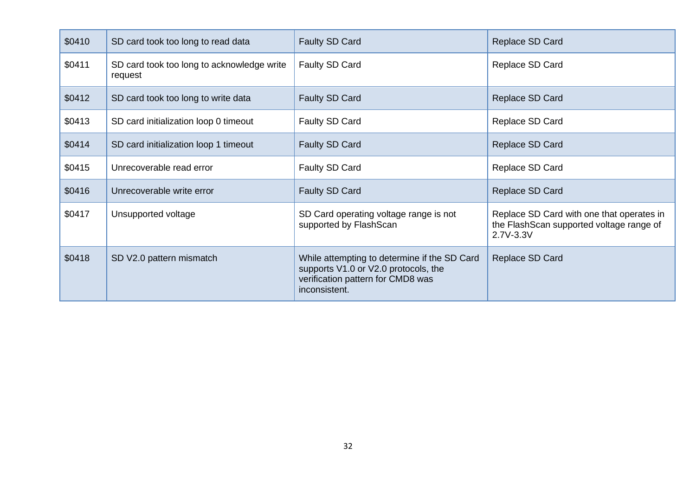| \$0410 | SD card took too long to read data                    | Faulty SD Card                                                                                                                             | Replace SD Card                                                                                    |
|--------|-------------------------------------------------------|--------------------------------------------------------------------------------------------------------------------------------------------|----------------------------------------------------------------------------------------------------|
| \$0411 | SD card took too long to acknowledge write<br>request | Faulty SD Card                                                                                                                             | Replace SD Card                                                                                    |
| \$0412 | SD card took too long to write data                   | Faulty SD Card                                                                                                                             | Replace SD Card                                                                                    |
| \$0413 | SD card initialization loop 0 timeout                 | Faulty SD Card                                                                                                                             | Replace SD Card                                                                                    |
| \$0414 | SD card initialization loop 1 timeout                 | Faulty SD Card                                                                                                                             | Replace SD Card                                                                                    |
| \$0415 | Unrecoverable read error                              | Faulty SD Card                                                                                                                             | Replace SD Card                                                                                    |
| \$0416 | Unrecoverable write error                             | Faulty SD Card                                                                                                                             | Replace SD Card                                                                                    |
| \$0417 | Unsupported voltage                                   | SD Card operating voltage range is not<br>supported by FlashScan                                                                           | Replace SD Card with one that operates in<br>the FlashScan supported voltage range of<br>2.7V-3.3V |
| \$0418 | SD V2.0 pattern mismatch                              | While attempting to determine if the SD Card<br>supports V1.0 or V2.0 protocols, the<br>verification pattern for CMD8 was<br>inconsistent. | Replace SD Card                                                                                    |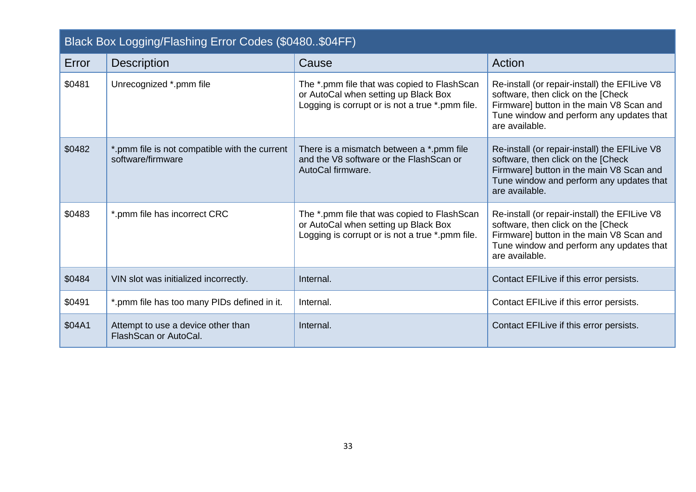<span id="page-32-0"></span>

| Black Box Logging/Flashing Error Codes (\$0480\$04FF) |                                                                    |                                                                                                                                        |                                                                                                                                                                                                |
|-------------------------------------------------------|--------------------------------------------------------------------|----------------------------------------------------------------------------------------------------------------------------------------|------------------------------------------------------------------------------------------------------------------------------------------------------------------------------------------------|
| Error                                                 | <b>Description</b>                                                 | Cause                                                                                                                                  | Action                                                                                                                                                                                         |
| \$0481                                                | Unrecognized *.pmm file                                            | The *.pmm file that was copied to FlashScan<br>or AutoCal when setting up Black Box<br>Logging is corrupt or is not a true *.pmm file. | Re-install (or repair-install) the EFILive V8<br>software, then click on the [Check]<br>Firmware] button in the main V8 Scan and<br>Tune window and perform any updates that<br>are available. |
| \$0482                                                | *.pmm file is not compatible with the current<br>software/firmware | There is a mismatch between a *.pmm file<br>and the V8 software or the Flash Scan or<br>AutoCal firmware.                              | Re-install (or repair-install) the EFILive V8<br>software, then click on the [Check<br>Firmware] button in the main V8 Scan and<br>Tune window and perform any updates that<br>are available.  |
| \$0483                                                | *.pmm file has incorrect CRC                                       | The *.pmm file that was copied to FlashScan<br>or AutoCal when setting up Black Box<br>Logging is corrupt or is not a true *.pmm file. | Re-install (or repair-install) the EFILive V8<br>software, then click on the [Check]<br>Firmware] button in the main V8 Scan and<br>Tune window and perform any updates that<br>are available. |
| \$0484                                                | VIN slot was initialized incorrectly.                              | Internal.                                                                                                                              | Contact EFILive if this error persists.                                                                                                                                                        |
| \$0491                                                | *.pmm file has too many PIDs defined in it.                        | Internal.                                                                                                                              | Contact EFILive if this error persists.                                                                                                                                                        |
| \$04A1                                                | Attempt to use a device other than<br>FlashScan or AutoCal.        | Internal.                                                                                                                              | Contact EFILive if this error persists.                                                                                                                                                        |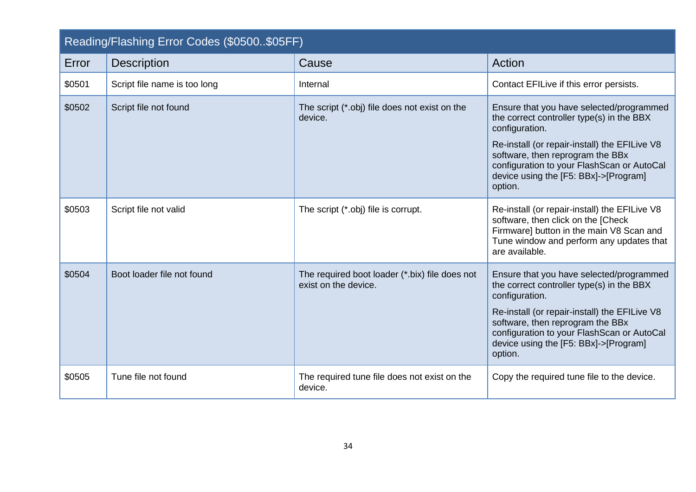<span id="page-33-0"></span>

| Reading/Flashing Error Codes (\$0500\$05FF) |                              |                                                                        |                                                                                                                                                                                                                                                                                                |
|---------------------------------------------|------------------------------|------------------------------------------------------------------------|------------------------------------------------------------------------------------------------------------------------------------------------------------------------------------------------------------------------------------------------------------------------------------------------|
| Error                                       | <b>Description</b>           | Cause                                                                  | Action                                                                                                                                                                                                                                                                                         |
| \$0501                                      | Script file name is too long | Internal                                                               | Contact EFILive if this error persists.                                                                                                                                                                                                                                                        |
| \$0502                                      | Script file not found        | The script (*.obj) file does not exist on the<br>device.               | Ensure that you have selected/programmed<br>the correct controller type(s) in the BBX<br>configuration.<br>Re-install (or repair-install) the EFILive V8<br>software, then reprogram the BBx<br>configuration to your FlashScan or AutoCal<br>device using the [F5: BBx]->[Program]<br>option. |
| \$0503                                      | Script file not valid        | The script (*.obj) file is corrupt.                                    | Re-install (or repair-install) the EFILive V8<br>software, then click on the [Check<br>Firmware] button in the main V8 Scan and<br>Tune window and perform any updates that<br>are available.                                                                                                  |
| \$0504                                      | Boot loader file not found   | The required boot loader (*.bix) file does not<br>exist on the device. | Ensure that you have selected/programmed<br>the correct controller type(s) in the BBX<br>configuration.<br>Re-install (or repair-install) the EFILive V8<br>software, then reprogram the BBx<br>configuration to your FlashScan or AutoCal<br>device using the [F5: BBx]->[Program]<br>option. |
| \$0505                                      | Tune file not found          | The required tune file does not exist on the<br>device.                | Copy the required tune file to the device.                                                                                                                                                                                                                                                     |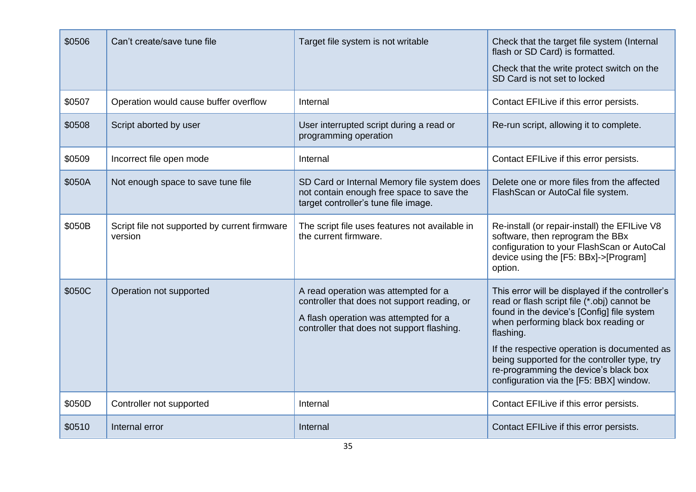| \$0506 | Can't create/save tune file                              | Target file system is not writable                                                                                                                                          | Check that the target file system (Internal<br>flash or SD Card) is formatted.<br>Check that the write protect switch on the<br>SD Card is not set to locked                                                                                                                                                                                                                           |
|--------|----------------------------------------------------------|-----------------------------------------------------------------------------------------------------------------------------------------------------------------------------|----------------------------------------------------------------------------------------------------------------------------------------------------------------------------------------------------------------------------------------------------------------------------------------------------------------------------------------------------------------------------------------|
| \$0507 | Operation would cause buffer overflow                    | Internal                                                                                                                                                                    | Contact EFILive if this error persists.                                                                                                                                                                                                                                                                                                                                                |
| \$0508 | Script aborted by user                                   | User interrupted script during a read or<br>programming operation                                                                                                           | Re-run script, allowing it to complete.                                                                                                                                                                                                                                                                                                                                                |
| \$0509 | Incorrect file open mode                                 | Internal                                                                                                                                                                    | Contact EFILive if this error persists.                                                                                                                                                                                                                                                                                                                                                |
| \$050A | Not enough space to save tune file                       | SD Card or Internal Memory file system does<br>not contain enough free space to save the<br>target controller's tune file image.                                            | Delete one or more files from the affected<br>FlashScan or AutoCal file system.                                                                                                                                                                                                                                                                                                        |
| \$050B | Script file not supported by current firmware<br>version | The script file uses features not available in<br>the current firmware.                                                                                                     | Re-install (or repair-install) the EFILive V8<br>software, then reprogram the BBx<br>configuration to your FlashScan or AutoCal<br>device using the [F5: BBx]->[Program]<br>option.                                                                                                                                                                                                    |
| \$050C | Operation not supported                                  | A read operation was attempted for a<br>controller that does not support reading, or<br>A flash operation was attempted for a<br>controller that does not support flashing. | This error will be displayed if the controller's<br>read or flash script file (*.obj) cannot be<br>found in the device's [Config] file system<br>when performing black box reading or<br>flashing.<br>If the respective operation is documented as<br>being supported for the controller type, try<br>re-programming the device's black box<br>configuration via the [F5: BBX] window. |
| \$050D | Controller not supported                                 | Internal                                                                                                                                                                    | Contact EFILive if this error persists.                                                                                                                                                                                                                                                                                                                                                |
| \$0510 | Internal error                                           | Internal                                                                                                                                                                    | Contact EFILive if this error persists.                                                                                                                                                                                                                                                                                                                                                |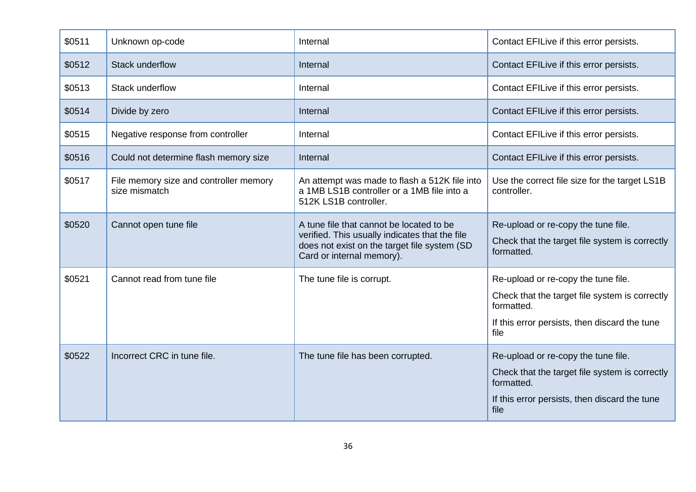| \$0511 | Unknown op-code                                         | Internal                                                                                                                                                                | Contact EFILive if this error persists.                                                                                                                      |
|--------|---------------------------------------------------------|-------------------------------------------------------------------------------------------------------------------------------------------------------------------------|--------------------------------------------------------------------------------------------------------------------------------------------------------------|
| \$0512 | Stack underflow                                         | Internal                                                                                                                                                                | Contact EFILive if this error persists.                                                                                                                      |
| \$0513 | Stack underflow                                         | Internal                                                                                                                                                                | Contact EFILive if this error persists.                                                                                                                      |
| \$0514 | Divide by zero                                          | Internal                                                                                                                                                                | Contact EFILive if this error persists.                                                                                                                      |
| \$0515 | Negative response from controller                       | Internal                                                                                                                                                                | Contact EFILive if this error persists.                                                                                                                      |
| \$0516 | Could not determine flash memory size                   | Internal                                                                                                                                                                | Contact EFILive if this error persists.                                                                                                                      |
| \$0517 | File memory size and controller memory<br>size mismatch | An attempt was made to flash a 512K file into<br>a 1MB LS1B controller or a 1MB file into a<br>512K LS1B controller.                                                    | Use the correct file size for the target LS1B<br>controller.                                                                                                 |
| \$0520 | Cannot open tune file                                   | A tune file that cannot be located to be<br>verified. This usually indicates that the file<br>does not exist on the target file system (SD<br>Card or internal memory). | Re-upload or re-copy the tune file.<br>Check that the target file system is correctly<br>formatted.                                                          |
| \$0521 | Cannot read from tune file                              | The tune file is corrupt.                                                                                                                                               | Re-upload or re-copy the tune file.<br>Check that the target file system is correctly<br>formatted.<br>If this error persists, then discard the tune<br>file |
| \$0522 | Incorrect CRC in tune file.                             | The tune file has been corrupted.                                                                                                                                       | Re-upload or re-copy the tune file.<br>Check that the target file system is correctly<br>formatted.<br>If this error persists, then discard the tune<br>file |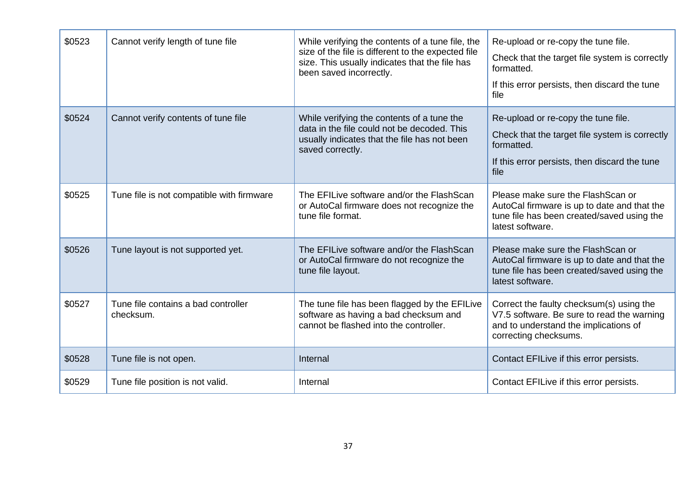| \$0523 | Cannot verify length of tune file                | While verifying the contents of a tune file, the<br>size of the file is different to the expected file<br>size. This usually indicates that the file has<br>been saved incorrectly. | Re-upload or re-copy the tune file.<br>Check that the target file system is correctly<br>formatted.<br>If this error persists, then discard the tune<br>file |
|--------|--------------------------------------------------|-------------------------------------------------------------------------------------------------------------------------------------------------------------------------------------|--------------------------------------------------------------------------------------------------------------------------------------------------------------|
| \$0524 | Cannot verify contents of tune file              | While verifying the contents of a tune the<br>data in the file could not be decoded. This<br>usually indicates that the file has not been<br>saved correctly.                       | Re-upload or re-copy the tune file.<br>Check that the target file system is correctly<br>formatted.<br>If this error persists, then discard the tune<br>file |
| \$0525 | Tune file is not compatible with firmware        | The EFILive software and/or the FlashScan<br>or AutoCal firmware does not recognize the<br>tune file format.                                                                        | Please make sure the FlashScan or<br>AutoCal firmware is up to date and that the<br>tune file has been created/saved using the<br>latest software.           |
| \$0526 | Tune layout is not supported yet.                | The EFILive software and/or the FlashScan<br>or AutoCal firmware do not recognize the<br>tune file layout.                                                                          | Please make sure the Flash Scan or<br>AutoCal firmware is up to date and that the<br>tune file has been created/saved using the<br>latest software.          |
| \$0527 | Tune file contains a bad controller<br>checksum. | The tune file has been flagged by the EFILive<br>software as having a bad checksum and<br>cannot be flashed into the controller.                                                    | Correct the faulty checksum(s) using the<br>V7.5 software. Be sure to read the warning<br>and to understand the implications of<br>correcting checksums.     |
| \$0528 | Tune file is not open.                           | Internal                                                                                                                                                                            | Contact EFILive if this error persists.                                                                                                                      |
| \$0529 | Tune file position is not valid.                 | Internal                                                                                                                                                                            | Contact EFILive if this error persists.                                                                                                                      |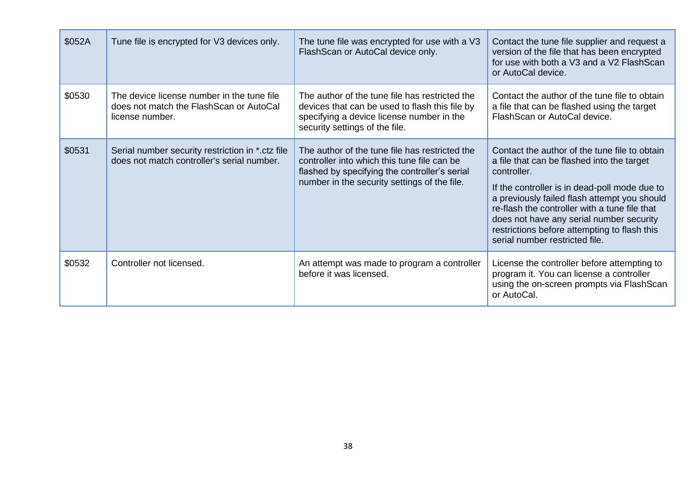| \$052A | Tune file is encrypted for V3 devices only.                                                               | The tune file was encrypted for use with a V3<br>FlashScan or AutoCal device only.                                                                                                             | Contact the tune file supplier and request a<br>version of the file that has been encrypted<br>for use with both a V3 and a V2 FlashScan<br>or AutoCal device.                                                                                                                                                                                                                             |
|--------|-----------------------------------------------------------------------------------------------------------|------------------------------------------------------------------------------------------------------------------------------------------------------------------------------------------------|--------------------------------------------------------------------------------------------------------------------------------------------------------------------------------------------------------------------------------------------------------------------------------------------------------------------------------------------------------------------------------------------|
| \$0530 | The device license number in the tune file<br>does not match the Flash Scan or AutoCal<br>license number. | The author of the tune file has restricted the<br>devices that can be used to flash this file by<br>specifying a device license number in the<br>security settings of the file.                | Contact the author of the tune file to obtain<br>a file that can be flashed using the target<br>FlashScan or AutoCal device.                                                                                                                                                                                                                                                               |
| \$0531 | Serial number security restriction in *.ctz file<br>does not match controller's serial number.            | The author of the tune file has restricted the<br>controller into which this tune file can be<br>flashed by specifying the controller's serial<br>number in the security settings of the file. | Contact the author of the tune file to obtain<br>a file that can be flashed into the target<br>controller.<br>If the controller is in dead-poll mode due to<br>a previously failed flash attempt you should<br>re-flash the controller with a tune file that<br>does not have any serial number security<br>restrictions before attempting to flash this<br>serial number restricted file. |
| \$0532 | Controller not licensed.                                                                                  | An attempt was made to program a controller<br>before it was licensed.                                                                                                                         | License the controller before attempting to<br>program it. You can license a controller<br>using the on-screen prompts via FlashScan<br>or AutoCal.                                                                                                                                                                                                                                        |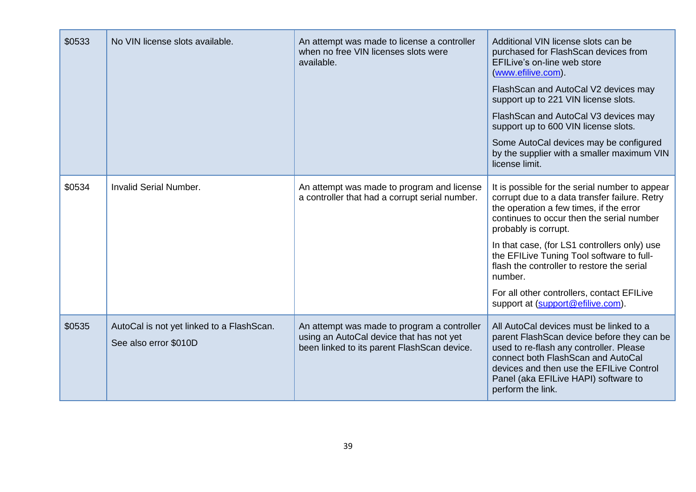| \$0533 | No VIN license slots available.                                    | An attempt was made to license a controller<br>when no free VIN licenses slots were<br>available.                                      | Additional VIN license slots can be<br>purchased for FlashScan devices from<br>EFILive's on-line web store<br>(www.efilive.com).<br>FlashScan and AutoCal V2 devices may<br>support up to 221 VIN license slots.<br>FlashScan and AutoCal V3 devices may<br>support up to 600 VIN license slots.<br>Some AutoCal devices may be configured<br>by the supplier with a smaller maximum VIN<br>license limit.                                               |
|--------|--------------------------------------------------------------------|----------------------------------------------------------------------------------------------------------------------------------------|----------------------------------------------------------------------------------------------------------------------------------------------------------------------------------------------------------------------------------------------------------------------------------------------------------------------------------------------------------------------------------------------------------------------------------------------------------|
| \$0534 | <b>Invalid Serial Number.</b>                                      | An attempt was made to program and license<br>a controller that had a corrupt serial number.                                           | It is possible for the serial number to appear<br>corrupt due to a data transfer failure. Retry<br>the operation a few times, if the error<br>continues to occur then the serial number<br>probably is corrupt.<br>In that case, (for LS1 controllers only) use<br>the EFILive Tuning Tool software to full-<br>flash the controller to restore the serial<br>number.<br>For all other controllers, contact EFILive<br>support at (support@efilive.com). |
| \$0535 | AutoCal is not yet linked to a FlashScan.<br>See also error \$010D | An attempt was made to program a controller<br>using an AutoCal device that has not yet<br>been linked to its parent FlashScan device. | All AutoCal devices must be linked to a<br>parent FlashScan device before they can be<br>used to re-flash any controller. Please<br>connect both FlashScan and AutoCal<br>devices and then use the EFILive Control<br>Panel (aka EFILive HAPI) software to<br>perform the link.                                                                                                                                                                          |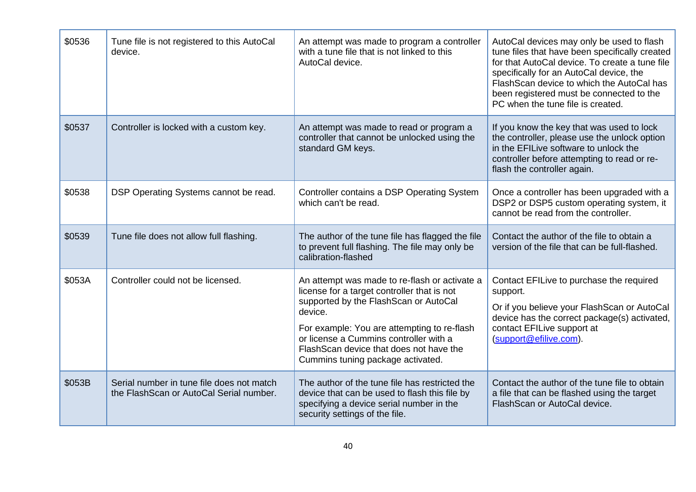| \$0536 | Tune file is not registered to this AutoCal<br>device.                                 | An attempt was made to program a controller<br>with a tune file that is not linked to this<br>AutoCal device.                                                                                                                                                                                                              | AutoCal devices may only be used to flash<br>tune files that have been specifically created<br>for that AutoCal device. To create a tune file<br>specifically for an AutoCal device, the<br>FlashScan device to which the AutoCal has<br>been registered must be connected to the<br>PC when the tune file is created. |
|--------|----------------------------------------------------------------------------------------|----------------------------------------------------------------------------------------------------------------------------------------------------------------------------------------------------------------------------------------------------------------------------------------------------------------------------|------------------------------------------------------------------------------------------------------------------------------------------------------------------------------------------------------------------------------------------------------------------------------------------------------------------------|
| \$0537 | Controller is locked with a custom key.                                                | An attempt was made to read or program a<br>controller that cannot be unlocked using the<br>standard GM keys.                                                                                                                                                                                                              | If you know the key that was used to lock<br>the controller, please use the unlock option<br>in the EFILive software to unlock the<br>controller before attempting to read or re-<br>flash the controller again.                                                                                                       |
| \$0538 | DSP Operating Systems cannot be read.                                                  | Controller contains a DSP Operating System<br>which can't be read.                                                                                                                                                                                                                                                         | Once a controller has been upgraded with a<br>DSP2 or DSP5 custom operating system, it<br>cannot be read from the controller.                                                                                                                                                                                          |
| \$0539 | Tune file does not allow full flashing.                                                | The author of the tune file has flagged the file<br>to prevent full flashing. The file may only be<br>calibration-flashed                                                                                                                                                                                                  | Contact the author of the file to obtain a<br>version of the file that can be full-flashed.                                                                                                                                                                                                                            |
| \$053A | Controller could not be licensed.                                                      | An attempt was made to re-flash or activate a<br>license for a target controller that is not<br>supported by the FlashScan or AutoCal<br>device.<br>For example: You are attempting to re-flash<br>or license a Cummins controller with a<br>Flash Scan device that does not have the<br>Cummins tuning package activated. | Contact EFILive to purchase the required<br>support.<br>Or if you believe your FlashScan or AutoCal<br>device has the correct package(s) activated,<br>contact EFILive support at<br>(support@efilive.com).                                                                                                            |
| \$053B | Serial number in tune file does not match<br>the Flash Scan or Auto Cal Serial number. | The author of the tune file has restricted the<br>device that can be used to flash this file by<br>specifying a device serial number in the<br>security settings of the file.                                                                                                                                              | Contact the author of the tune file to obtain<br>a file that can be flashed using the target<br>FlashScan or AutoCal device.                                                                                                                                                                                           |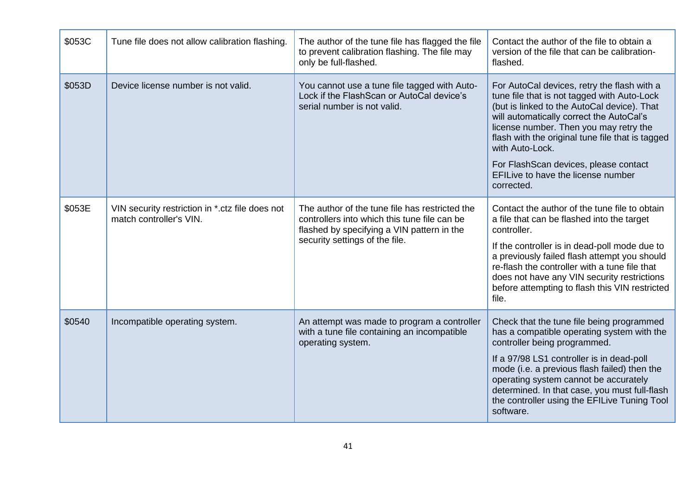| \$053C | Tune file does not allow calibration flashing.                             | The author of the tune file has flagged the file<br>to prevent calibration flashing. The file may<br>only be full-flashed.                                                     | Contact the author of the file to obtain a<br>version of the file that can be calibration-<br>flashed.                                                                                                                                                                                                                                                                                              |
|--------|----------------------------------------------------------------------------|--------------------------------------------------------------------------------------------------------------------------------------------------------------------------------|-----------------------------------------------------------------------------------------------------------------------------------------------------------------------------------------------------------------------------------------------------------------------------------------------------------------------------------------------------------------------------------------------------|
| \$053D | Device license number is not valid.                                        | You cannot use a tune file tagged with Auto-<br>Lock if the FlashScan or AutoCal device's<br>serial number is not valid.                                                       | For AutoCal devices, retry the flash with a<br>tune file that is not tagged with Auto-Lock<br>(but is linked to the AutoCal device). That<br>will automatically correct the AutoCal's<br>license number. Then you may retry the<br>flash with the original tune file that is tagged<br>with Auto-Lock.<br>For FlashScan devices, please contact<br>EFILive to have the license number<br>corrected. |
| \$053E | VIN security restriction in *.ctz file does not<br>match controller's VIN. | The author of the tune file has restricted the<br>controllers into which this tune file can be<br>flashed by specifying a VIN pattern in the<br>security settings of the file. | Contact the author of the tune file to obtain<br>a file that can be flashed into the target<br>controller.<br>If the controller is in dead-poll mode due to<br>a previously failed flash attempt you should<br>re-flash the controller with a tune file that<br>does not have any VIN security restrictions<br>before attempting to flash this VIN restricted<br>file.                              |
| \$0540 | Incompatible operating system.                                             | An attempt was made to program a controller<br>with a tune file containing an incompatible<br>operating system.                                                                | Check that the tune file being programmed<br>has a compatible operating system with the<br>controller being programmed.<br>If a 97/98 LS1 controller is in dead-poll<br>mode (i.e. a previous flash failed) then the<br>operating system cannot be accurately<br>determined. In that case, you must full-flash<br>the controller using the EFILive Tuning Tool<br>software.                         |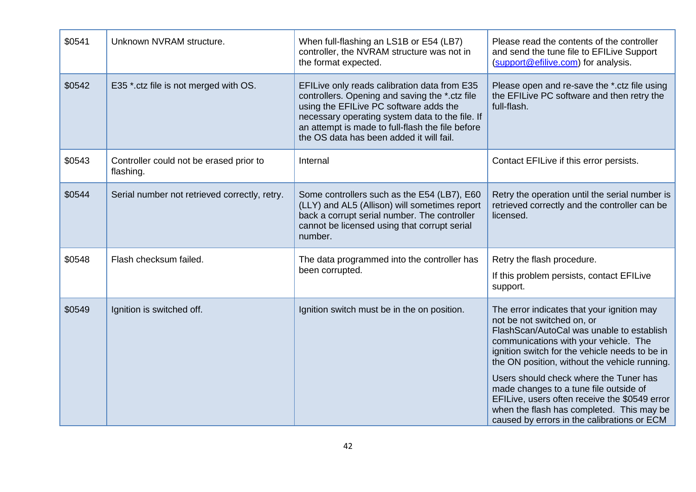| \$0541 | Unknown NVRAM structure.                             | When full-flashing an LS1B or E54 (LB7)<br>controller, the NVRAM structure was not in<br>the format expected.                                                                                                                                                                               | Please read the contents of the controller<br>and send the tune file to EFILive Support<br>(support@efilive.com) for analysis.                                                                                                                                                                                                                                                                                                                                                                     |
|--------|------------------------------------------------------|---------------------------------------------------------------------------------------------------------------------------------------------------------------------------------------------------------------------------------------------------------------------------------------------|----------------------------------------------------------------------------------------------------------------------------------------------------------------------------------------------------------------------------------------------------------------------------------------------------------------------------------------------------------------------------------------------------------------------------------------------------------------------------------------------------|
| \$0542 | E35 *.ctz file is not merged with OS.                | EFILive only reads calibration data from E35<br>controllers. Opening and saving the *.ctz file<br>using the EFILive PC software adds the<br>necessary operating system data to the file. If<br>an attempt is made to full-flash the file before<br>the OS data has been added it will fail. | Please open and re-save the *.ctz file using<br>the EFILive PC software and then retry the<br>full-flash.                                                                                                                                                                                                                                                                                                                                                                                          |
| \$0543 | Controller could not be erased prior to<br>flashing. | Internal                                                                                                                                                                                                                                                                                    | Contact EFILive if this error persists.                                                                                                                                                                                                                                                                                                                                                                                                                                                            |
| \$0544 | Serial number not retrieved correctly, retry.        | Some controllers such as the E54 (LB7), E60<br>(LLY) and AL5 (Allison) will sometimes report<br>back a corrupt serial number. The controller<br>cannot be licensed using that corrupt serial<br>number.                                                                                     | Retry the operation until the serial number is<br>retrieved correctly and the controller can be<br>licensed.                                                                                                                                                                                                                                                                                                                                                                                       |
| \$0548 | Flash checksum failed.                               | The data programmed into the controller has<br>been corrupted.                                                                                                                                                                                                                              | Retry the flash procedure.<br>If this problem persists, contact EFILive<br>support.                                                                                                                                                                                                                                                                                                                                                                                                                |
| \$0549 | Ignition is switched off.                            | Ignition switch must be in the on position.                                                                                                                                                                                                                                                 | The error indicates that your ignition may<br>not be not switched on, or<br>FlashScan/AutoCal was unable to establish<br>communications with your vehicle. The<br>ignition switch for the vehicle needs to be in<br>the ON position, without the vehicle running.<br>Users should check where the Tuner has<br>made changes to a tune file outside of<br>EFILive, users often receive the \$0549 error<br>when the flash has completed. This may be<br>caused by errors in the calibrations or ECM |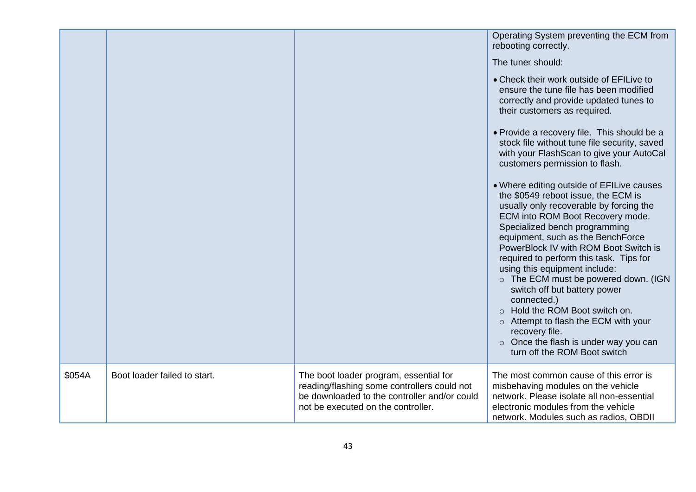|        |                              |                                                                                                                                                                             | Operating System preventing the ECM from<br>rebooting correctly.<br>The tuner should:<br>• Check their work outside of EFILive to<br>ensure the tune file has been modified<br>correctly and provide updated tunes to<br>their customers as required.<br>• Provide a recovery file. This should be a<br>stock file without tune file security, saved<br>with your FlashScan to give your AutoCal<br>customers permission to flash.<br>• Where editing outside of EFILive causes<br>the \$0549 reboot issue, the ECM is<br>usually only recoverable by forcing the<br>ECM into ROM Boot Recovery mode.<br>Specialized bench programming<br>equipment, such as the BenchForce<br>PowerBlock IV with ROM Boot Switch is<br>required to perform this task. Tips for<br>using this equipment include:<br>o The ECM must be powered down. (IGN<br>switch off but battery power<br>connected.)<br>o Hold the ROM Boot switch on.<br>Attempt to flash the ECM with your<br>$\circ$<br>recovery file.<br>$\circ$ Once the flash is under way you can<br>turn off the ROM Boot switch |
|--------|------------------------------|-----------------------------------------------------------------------------------------------------------------------------------------------------------------------------|-----------------------------------------------------------------------------------------------------------------------------------------------------------------------------------------------------------------------------------------------------------------------------------------------------------------------------------------------------------------------------------------------------------------------------------------------------------------------------------------------------------------------------------------------------------------------------------------------------------------------------------------------------------------------------------------------------------------------------------------------------------------------------------------------------------------------------------------------------------------------------------------------------------------------------------------------------------------------------------------------------------------------------------------------------------------------------|
| \$054A | Boot loader failed to start. | The boot loader program, essential for<br>reading/flashing some controllers could not<br>be downloaded to the controller and/or could<br>not be executed on the controller. | The most common cause of this error is<br>misbehaving modules on the vehicle<br>network. Please isolate all non-essential<br>electronic modules from the vehicle<br>network. Modules such as radios, OBDII                                                                                                                                                                                                                                                                                                                                                                                                                                                                                                                                                                                                                                                                                                                                                                                                                                                                  |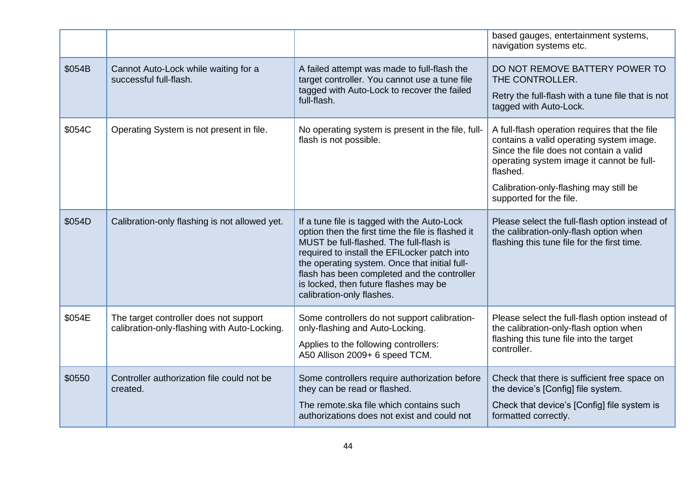|        |                                                                                        |                                                                                                                                                                                                                                                                                                                                                                   | based gauges, entertainment systems,<br>navigation systems etc.                                                                                                                                                                                                    |
|--------|----------------------------------------------------------------------------------------|-------------------------------------------------------------------------------------------------------------------------------------------------------------------------------------------------------------------------------------------------------------------------------------------------------------------------------------------------------------------|--------------------------------------------------------------------------------------------------------------------------------------------------------------------------------------------------------------------------------------------------------------------|
| \$054B | Cannot Auto-Lock while waiting for a<br>successful full-flash.                         | A failed attempt was made to full-flash the<br>target controller. You cannot use a tune file<br>tagged with Auto-Lock to recover the failed<br>full-flash.                                                                                                                                                                                                        | DO NOT REMOVE BATTERY POWER TO<br>THE CONTROLLER.<br>Retry the full-flash with a tune file that is not<br>tagged with Auto-Lock.                                                                                                                                   |
| \$054C | Operating System is not present in file.                                               | No operating system is present in the file, full-<br>flash is not possible.                                                                                                                                                                                                                                                                                       | A full-flash operation requires that the file<br>contains a valid operating system image.<br>Since the file does not contain a valid<br>operating system image it cannot be full-<br>flashed.<br>Calibration-only-flashing may still be<br>supported for the file. |
| \$054D | Calibration-only flashing is not allowed yet.                                          | If a tune file is tagged with the Auto-Lock<br>option then the first time the file is flashed it<br>MUST be full-flashed. The full-flash is<br>required to install the EFILocker patch into<br>the operating system. Once that initial full-<br>flash has been completed and the controller<br>is locked, then future flashes may be<br>calibration-only flashes. | Please select the full-flash option instead of<br>the calibration-only-flash option when<br>flashing this tune file for the first time.                                                                                                                            |
| \$054E | The target controller does not support<br>calibration-only-flashing with Auto-Locking. | Some controllers do not support calibration-<br>only-flashing and Auto-Locking.<br>Applies to the following controllers:<br>A50 Allison 2009+ 6 speed TCM.                                                                                                                                                                                                        | Please select the full-flash option instead of<br>the calibration-only-flash option when<br>flashing this tune file into the target<br>controller.                                                                                                                 |
| \$0550 | Controller authorization file could not be<br>created.                                 | Some controllers require authorization before<br>they can be read or flashed.<br>The remote.ska file which contains such<br>authorizations does not exist and could not                                                                                                                                                                                           | Check that there is sufficient free space on<br>the device's [Config] file system.<br>Check that device's [Config] file system is<br>formatted correctly.                                                                                                          |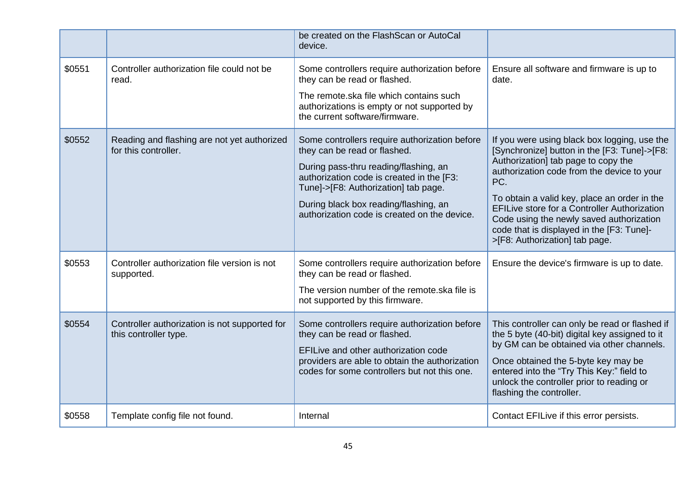|        |                                                                        | be created on the FlashScan or AutoCal<br>device.                                                                                                                                                                                                                                                    |                                                                                                                                                                                                                                                                                                                                                                                                                            |
|--------|------------------------------------------------------------------------|------------------------------------------------------------------------------------------------------------------------------------------------------------------------------------------------------------------------------------------------------------------------------------------------------|----------------------------------------------------------------------------------------------------------------------------------------------------------------------------------------------------------------------------------------------------------------------------------------------------------------------------------------------------------------------------------------------------------------------------|
| \$0551 | Controller authorization file could not be<br>read.                    | Some controllers require authorization before<br>they can be read or flashed.<br>The remote.ska file which contains such<br>authorizations is empty or not supported by<br>the current software/firmware.                                                                                            | Ensure all software and firmware is up to<br>date.                                                                                                                                                                                                                                                                                                                                                                         |
| \$0552 | Reading and flashing are not yet authorized<br>for this controller.    | Some controllers require authorization before<br>they can be read or flashed.<br>During pass-thru reading/flashing, an<br>authorization code is created in the [F3:<br>Tune]->[F8: Authorization] tab page.<br>During black box reading/flashing, an<br>authorization code is created on the device. | If you were using black box logging, use the<br>[Synchronize] button in the [F3: Tune]->[F8:<br>Authorization] tab page to copy the<br>authorization code from the device to your<br>PC.<br>To obtain a valid key, place an order in the<br><b>EFILive store for a Controller Authorization</b><br>Code using the newly saved authorization<br>code that is displayed in the [F3: Tune]-<br>>[F8: Authorization] tab page. |
| \$0553 | Controller authorization file version is not<br>supported.             | Some controllers require authorization before<br>they can be read or flashed.<br>The version number of the remote.ska file is<br>not supported by this firmware.                                                                                                                                     | Ensure the device's firmware is up to date.                                                                                                                                                                                                                                                                                                                                                                                |
| \$0554 | Controller authorization is not supported for<br>this controller type. | Some controllers require authorization before<br>they can be read or flashed.<br>EFILive and other authorization code<br>providers are able to obtain the authorization<br>codes for some controllers but not this one.                                                                              | This controller can only be read or flashed if<br>the 5 byte (40-bit) digital key assigned to it<br>by GM can be obtained via other channels.<br>Once obtained the 5-byte key may be<br>entered into the "Try This Key:" field to<br>unlock the controller prior to reading or<br>flashing the controller.                                                                                                                 |
| \$0558 | Template config file not found.                                        | Internal                                                                                                                                                                                                                                                                                             | Contact EFILive if this error persists.                                                                                                                                                                                                                                                                                                                                                                                    |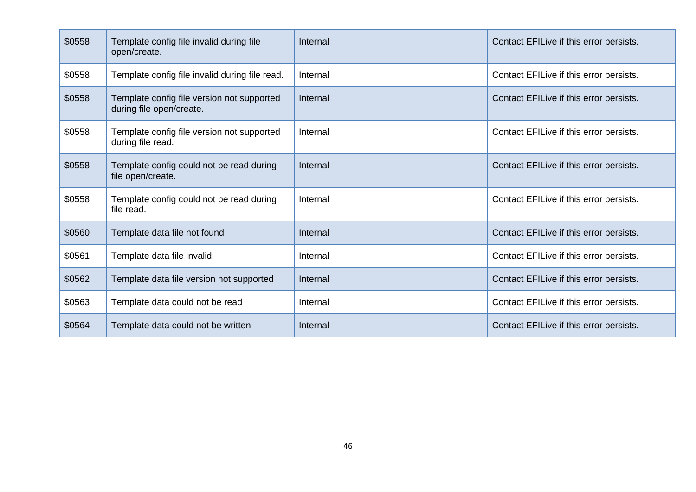| \$0558 | Template config file invalid during file<br>open/create.               | Internal | Contact EFILive if this error persists. |
|--------|------------------------------------------------------------------------|----------|-----------------------------------------|
| \$0558 | Template config file invalid during file read.                         | Internal | Contact EFILive if this error persists. |
| \$0558 | Template config file version not supported<br>during file open/create. | Internal | Contact EFILive if this error persists. |
| \$0558 | Template config file version not supported<br>during file read.        | Internal | Contact EFILive if this error persists. |
| \$0558 | Template config could not be read during<br>file open/create.          | Internal | Contact EFILive if this error persists. |
| \$0558 | Template config could not be read during<br>file read.                 | Internal | Contact EFILive if this error persists. |
| \$0560 | Template data file not found                                           | Internal | Contact EFILive if this error persists. |
| \$0561 | Template data file invalid                                             | Internal | Contact EFILive if this error persists. |
| \$0562 | Template data file version not supported                               | Internal | Contact EFILive if this error persists. |
| \$0563 | Template data could not be read                                        | Internal | Contact EFILive if this error persists. |
| \$0564 | Template data could not be written                                     | Internal | Contact EFILive if this error persists. |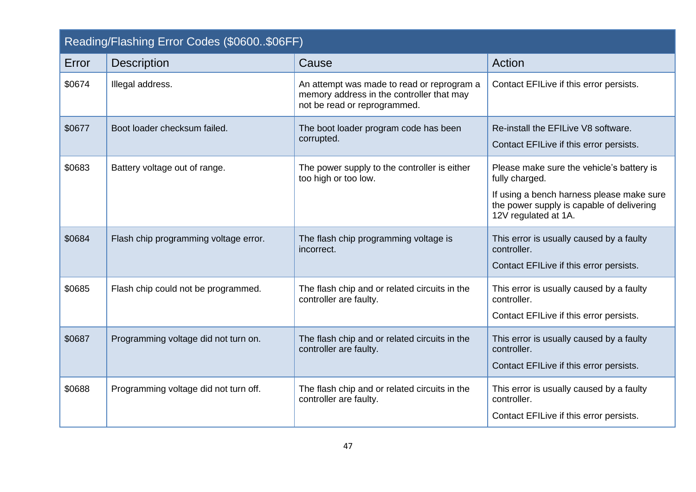<span id="page-46-0"></span>

| Reading/Flashing Error Codes (\$0600\$06FF) |                                       |                                                                                                                         |                                                                                                                                                                               |
|---------------------------------------------|---------------------------------------|-------------------------------------------------------------------------------------------------------------------------|-------------------------------------------------------------------------------------------------------------------------------------------------------------------------------|
| Error                                       | <b>Description</b>                    | Cause                                                                                                                   | Action                                                                                                                                                                        |
| \$0674                                      | Illegal address.                      | An attempt was made to read or reprogram a<br>memory address in the controller that may<br>not be read or reprogrammed. | Contact EFILive if this error persists.                                                                                                                                       |
| \$0677                                      | Boot loader checksum failed.          | The boot loader program code has been<br>corrupted.                                                                     | Re-install the EFILive V8 software.<br>Contact EFILive if this error persists.                                                                                                |
| \$0683                                      | Battery voltage out of range.         | The power supply to the controller is either<br>too high or too low.                                                    | Please make sure the vehicle's battery is<br>fully charged.<br>If using a bench harness please make sure<br>the power supply is capable of delivering<br>12V regulated at 1A. |
| \$0684                                      | Flash chip programming voltage error. | The flash chip programming voltage is<br>incorrect.                                                                     | This error is usually caused by a faulty<br>controller.<br>Contact EFILive if this error persists.                                                                            |
| \$0685                                      | Flash chip could not be programmed.   | The flash chip and or related circuits in the<br>controller are faulty.                                                 | This error is usually caused by a faulty<br>controller.<br>Contact EFILive if this error persists.                                                                            |
| \$0687                                      | Programming voltage did not turn on.  | The flash chip and or related circuits in the<br>controller are faulty.                                                 | This error is usually caused by a faulty<br>controller.<br>Contact EFILive if this error persists.                                                                            |
| \$0688                                      | Programming voltage did not turn off. | The flash chip and or related circuits in the<br>controller are faulty.                                                 | This error is usually caused by a faulty<br>controller.<br>Contact EFILive if this error persists.                                                                            |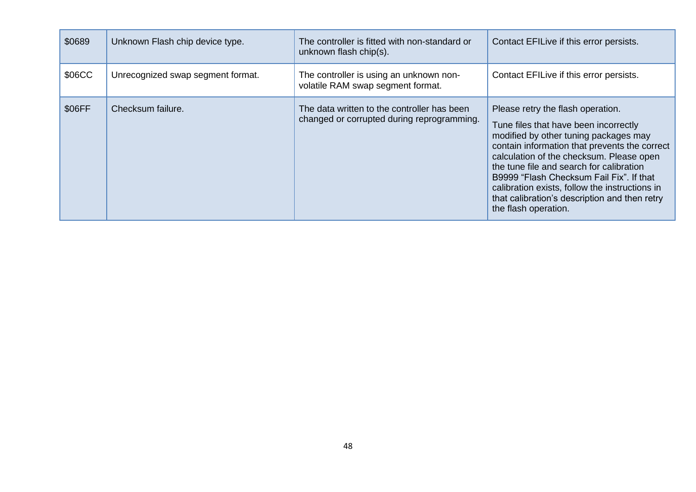| \$0689 | Unknown Flash chip device type.   | The controller is fitted with non-standard or<br>unknown flash chip(s).                   | Contact EFILive if this error persists.                                                                                                                                                                                                                                                                                                                                                                                             |
|--------|-----------------------------------|-------------------------------------------------------------------------------------------|-------------------------------------------------------------------------------------------------------------------------------------------------------------------------------------------------------------------------------------------------------------------------------------------------------------------------------------------------------------------------------------------------------------------------------------|
| \$06CC | Unrecognized swap segment format. | The controller is using an unknown non-<br>volatile RAM swap segment format.              | Contact EFILive if this error persists.                                                                                                                                                                                                                                                                                                                                                                                             |
| \$06FF | Checksum failure.                 | The data written to the controller has been<br>changed or corrupted during reprogramming. | Please retry the flash operation.<br>Tune files that have been incorrectly<br>modified by other tuning packages may<br>contain information that prevents the correct<br>calculation of the checksum. Please open<br>the tune file and search for calibration<br>B9999 "Flash Checksum Fail Fix". If that<br>calibration exists, follow the instructions in<br>that calibration's description and then retry<br>the flash operation. |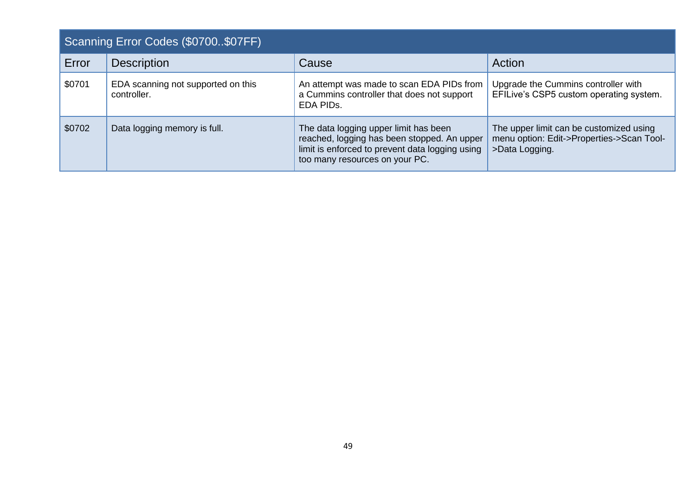<span id="page-48-0"></span>

| Scanning Error Codes (\$0700\$07FF) |                                                   |                                                                                                                                                                           |                                                                                                        |
|-------------------------------------|---------------------------------------------------|---------------------------------------------------------------------------------------------------------------------------------------------------------------------------|--------------------------------------------------------------------------------------------------------|
| Error                               | <b>Description</b>                                | Cause                                                                                                                                                                     | Action                                                                                                 |
| \$0701                              | EDA scanning not supported on this<br>controller. | An attempt was made to scan EDA PIDs from<br>a Cummins controller that does not support<br>EDA PIDS.                                                                      | Upgrade the Cummins controller with<br>EFILive's CSP5 custom operating system.                         |
| \$0702                              | Data logging memory is full.                      | The data logging upper limit has been<br>reached, logging has been stopped. An upper<br>limit is enforced to prevent data logging using<br>too many resources on your PC. | The upper limit can be customized using<br>menu option: Edit->Properties->Scan Tool-<br>>Data Logging. |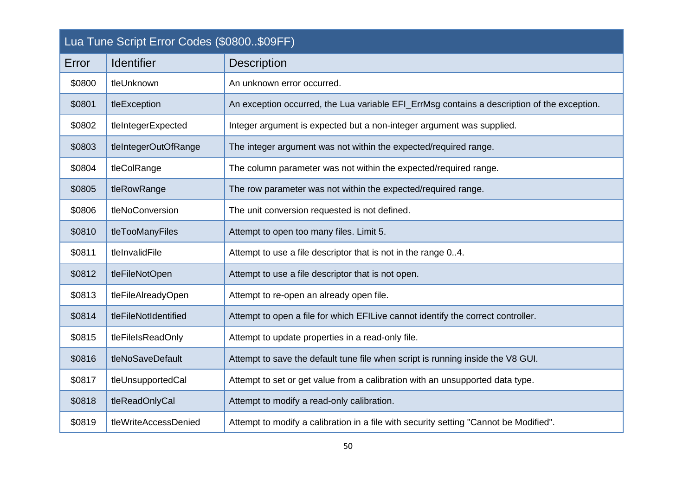<span id="page-49-0"></span>

| Lua Tune Script Error Codes (\$0800\$09FF) |                      |                                                                                             |  |
|--------------------------------------------|----------------------|---------------------------------------------------------------------------------------------|--|
| Error                                      | <b>Identifier</b>    | <b>Description</b>                                                                          |  |
| \$0800                                     | tleUnknown           | An unknown error occurred.                                                                  |  |
| \$0801                                     | tleException         | An exception occurred, the Lua variable EFI_ErrMsg contains a description of the exception. |  |
| \$0802                                     | tleIntegerExpected   | Integer argument is expected but a non-integer argument was supplied.                       |  |
| \$0803                                     | tleIntegerOutOfRange | The integer argument was not within the expected/required range.                            |  |
| \$0804                                     | tleColRange          | The column parameter was not within the expected/required range.                            |  |
| \$0805                                     | tleRowRange          | The row parameter was not within the expected/required range.                               |  |
| \$0806                                     | tleNoConversion      | The unit conversion requested is not defined.                                               |  |
| \$0810                                     | tleTooManyFiles      | Attempt to open too many files. Limit 5.                                                    |  |
| \$0811                                     | tleInvalidFile       | Attempt to use a file descriptor that is not in the range 04.                               |  |
| \$0812                                     | tleFileNotOpen       | Attempt to use a file descriptor that is not open.                                          |  |
| \$0813                                     | tleFileAlreadyOpen   | Attempt to re-open an already open file.                                                    |  |
| \$0814                                     | tleFileNotIdentified | Attempt to open a file for which EFILive cannot identify the correct controller.            |  |
| \$0815                                     | tleFileIsReadOnly    | Attempt to update properties in a read-only file.                                           |  |
| \$0816                                     | tleNoSaveDefault     | Attempt to save the default tune file when script is running inside the V8 GUI.             |  |
| \$0817                                     | tleUnsupportedCal    | Attempt to set or get value from a calibration with an unsupported data type.               |  |
| \$0818                                     | tleReadOnlyCal       | Attempt to modify a read-only calibration.                                                  |  |
| \$0819                                     | tleWriteAccessDenied | Attempt to modify a calibration in a file with security setting "Cannot be Modified".       |  |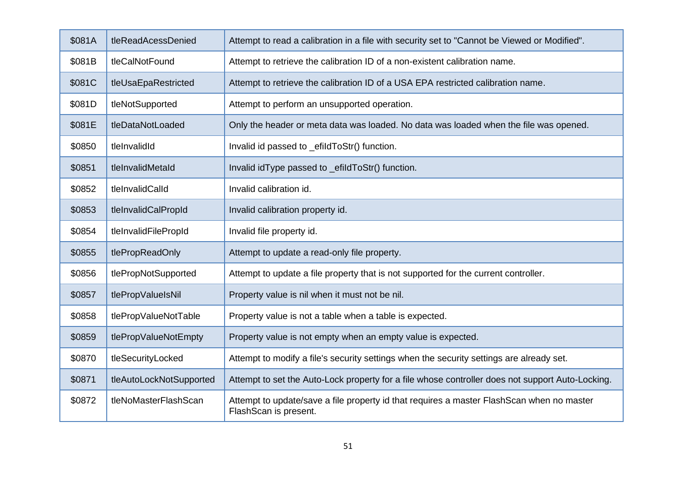| \$081A | tleReadAcessDenied      | Attempt to read a calibration in a file with security set to "Cannot be Viewed or Modified".                       |  |
|--------|-------------------------|--------------------------------------------------------------------------------------------------------------------|--|
| \$081B | tleCalNotFound          | Attempt to retrieve the calibration ID of a non-existent calibration name.                                         |  |
| \$081C | tleUsaEpaRestricted     | Attempt to retrieve the calibration ID of a USA EPA restricted calibration name.                                   |  |
| \$081D | tleNotSupported         | Attempt to perform an unsupported operation.                                                                       |  |
| \$081E | tleDataNotLoaded        | Only the header or meta data was loaded. No data was loaded when the file was opened.                              |  |
| \$0850 | tleInvalidId            | Invalid id passed to _efildToStr() function.                                                                       |  |
| \$0851 | tleInvalidMetaId        | Invalid idType passed to _efildToStr() function.                                                                   |  |
| \$0852 | tleInvalidCalId         | Invalid calibration id.                                                                                            |  |
| \$0853 | tleInvalidCalPropId     | Invalid calibration property id.                                                                                   |  |
| \$0854 | tleInvalidFilePropId    | Invalid file property id.                                                                                          |  |
| \$0855 | tlePropReadOnly         | Attempt to update a read-only file property.                                                                       |  |
| \$0856 | tlePropNotSupported     | Attempt to update a file property that is not supported for the current controller.                                |  |
| \$0857 | tlePropValueIsNil       | Property value is nil when it must not be nil.                                                                     |  |
| \$0858 | tlePropValueNotTable    | Property value is not a table when a table is expected.                                                            |  |
| \$0859 | tlePropValueNotEmpty    | Property value is not empty when an empty value is expected.                                                       |  |
| \$0870 | tleSecurityLocked       | Attempt to modify a file's security settings when the security settings are already set.                           |  |
| \$0871 | tleAutoLockNotSupported | Attempt to set the Auto-Lock property for a file whose controller does not support Auto-Locking.                   |  |
| \$0872 | tleNoMasterFlashScan    | Attempt to update/save a file property id that requires a master FlashScan when no master<br>FlashScan is present. |  |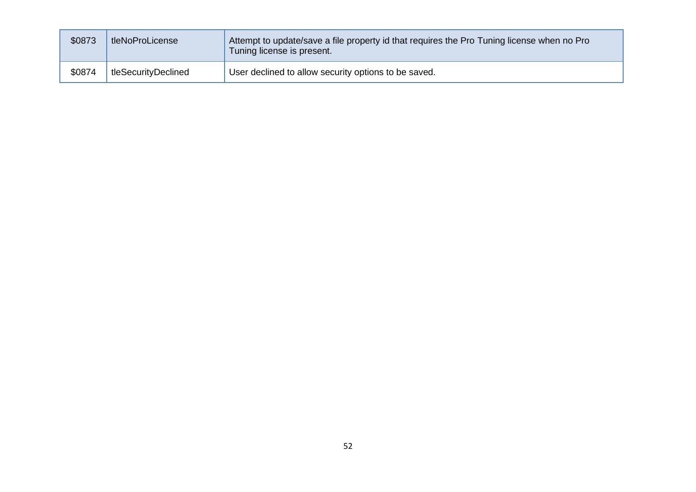| \$0873 | tleNoProLicense     | Attempt to update/save a file property id that requires the Pro Tuning license when no Pro<br>Tuning license is present. |
|--------|---------------------|--------------------------------------------------------------------------------------------------------------------------|
| \$0874 | tleSecurityDeclined | User declined to allow security options to be saved.                                                                     |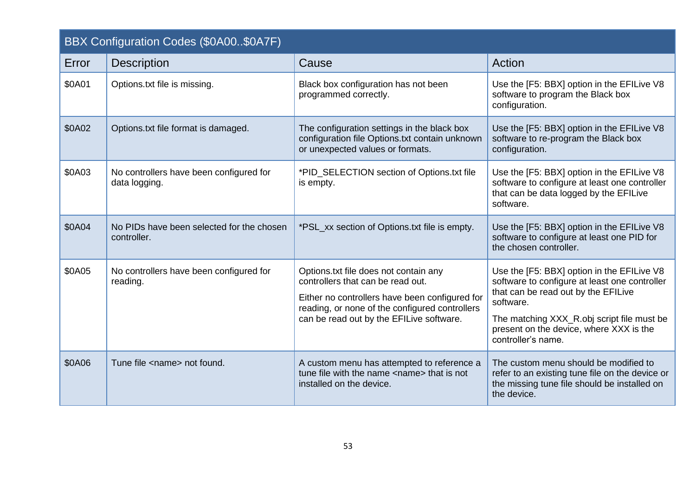<span id="page-52-0"></span>

| BBX Configuration Codes (\$0A00\$0A7F) |                                                          |                                                                                                                                                                                                                            |                                                                                                                                                                                                                                                                |
|----------------------------------------|----------------------------------------------------------|----------------------------------------------------------------------------------------------------------------------------------------------------------------------------------------------------------------------------|----------------------------------------------------------------------------------------------------------------------------------------------------------------------------------------------------------------------------------------------------------------|
| Error                                  | <b>Description</b>                                       | Cause                                                                                                                                                                                                                      | Action                                                                                                                                                                                                                                                         |
| \$0A01                                 | Options.txt file is missing.                             | Black box configuration has not been<br>programmed correctly.                                                                                                                                                              | Use the [F5: BBX] option in the EFILive V8<br>software to program the Black box<br>configuration.                                                                                                                                                              |
| \$0A02                                 | Options.txt file format is damaged.                      | The configuration settings in the black box<br>configuration file Options.txt contain unknown<br>or unexpected values or formats.                                                                                          | Use the [F5: BBX] option in the EFILive V8<br>software to re-program the Black box<br>configuration.                                                                                                                                                           |
| \$0A03                                 | No controllers have been configured for<br>data logging. | *PID_SELECTION section of Options.txt file<br>is empty.                                                                                                                                                                    | Use the [F5: BBX] option in the EFILive V8<br>software to configure at least one controller<br>that can be data logged by the EFILive<br>software.                                                                                                             |
| \$0A04                                 | No PIDs have been selected for the chosen<br>controller. | *PSL_xx section of Options.txt file is empty.                                                                                                                                                                              | Use the [F5: BBX] option in the EFILive V8<br>software to configure at least one PID for<br>the chosen controller.                                                                                                                                             |
| \$0A05                                 | No controllers have been configured for<br>reading.      | Options.txt file does not contain any<br>controllers that can be read out.<br>Either no controllers have been configured for<br>reading, or none of the configured controllers<br>can be read out by the EFILive software. | Use the [F5: BBX] option in the EFILive V8<br>software to configure at least one controller<br>that can be read out by the EFILive<br>software.<br>The matching XXX_R.obj script file must be<br>present on the device, where XXX is the<br>controller's name. |
| \$0A06                                 | Tune file <name> not found.</name>                       | A custom menu has attempted to reference a<br>tune file with the name <name> that is not<br/>installed on the device.</name>                                                                                               | The custom menu should be modified to<br>refer to an existing tune file on the device or<br>the missing tune file should be installed on<br>the device.                                                                                                        |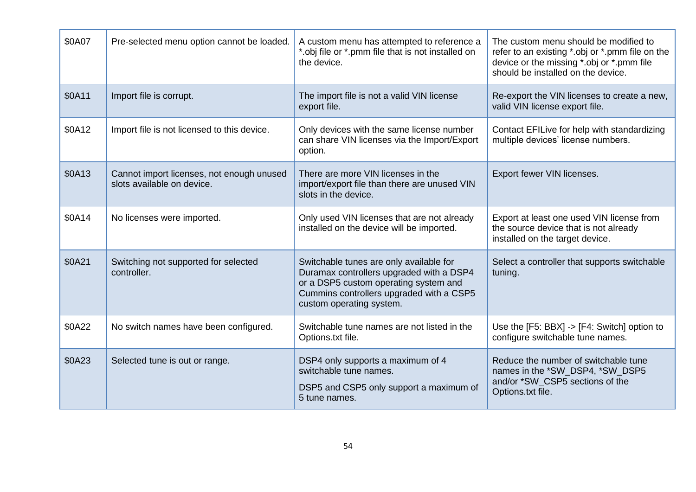| \$0A07 | Pre-selected menu option cannot be loaded.                              | A custom menu has attempted to reference a<br>*.obj file or *.pmm file that is not installed on<br>the device.                                                                                       | The custom menu should be modified to<br>refer to an existing *.obj or *.pmm file on the<br>device or the missing *.obj or *.pmm file<br>should be installed on the device. |
|--------|-------------------------------------------------------------------------|------------------------------------------------------------------------------------------------------------------------------------------------------------------------------------------------------|-----------------------------------------------------------------------------------------------------------------------------------------------------------------------------|
| \$0A11 | Import file is corrupt.                                                 | The import file is not a valid VIN license<br>export file.                                                                                                                                           | Re-export the VIN licenses to create a new,<br>valid VIN license export file.                                                                                               |
| \$0A12 | Import file is not licensed to this device.                             | Only devices with the same license number<br>can share VIN licenses via the Import/Export<br>option.                                                                                                 | Contact EFILive for help with standardizing<br>multiple devices' license numbers.                                                                                           |
| \$0A13 | Cannot import licenses, not enough unused<br>slots available on device. | There are more VIN licenses in the<br>import/export file than there are unused VIN<br>slots in the device.                                                                                           | Export fewer VIN licenses.                                                                                                                                                  |
| \$0A14 | No licenses were imported.                                              | Only used VIN licenses that are not already<br>installed on the device will be imported.                                                                                                             | Export at least one used VIN license from<br>the source device that is not already<br>installed on the target device.                                                       |
| \$0A21 | Switching not supported for selected<br>controller.                     | Switchable tunes are only available for<br>Duramax controllers upgraded with a DSP4<br>or a DSP5 custom operating system and<br>Cummins controllers upgraded with a CSP5<br>custom operating system. | Select a controller that supports switchable<br>tuning.                                                                                                                     |
| \$0A22 | No switch names have been configured.                                   | Switchable tune names are not listed in the<br>Options.txt file.                                                                                                                                     | Use the [F5: BBX] -> [F4: Switch] option to<br>configure switchable tune names.                                                                                             |
| \$0A23 | Selected tune is out or range.                                          | DSP4 only supports a maximum of 4<br>switchable tune names.<br>DSP5 and CSP5 only support a maximum of<br>5 tune names.                                                                              | Reduce the number of switchable tune<br>names in the *SW_DSP4, *SW_DSP5<br>and/or *SW CSP5 sections of the<br>Options.txt file.                                             |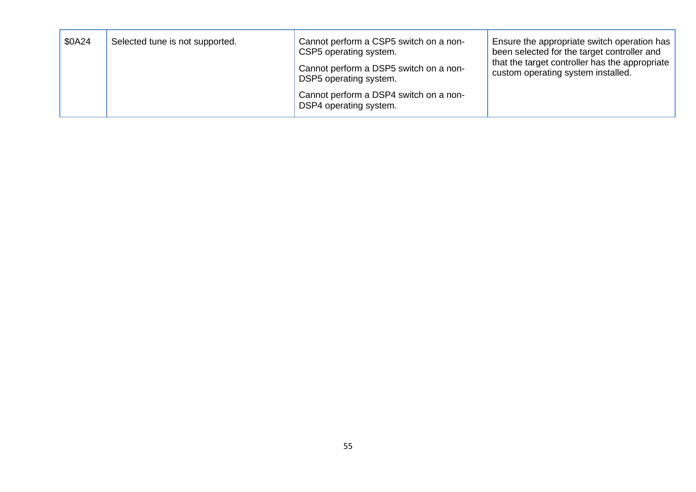| \$0A24 | Selected tune is not supported. | Cannot perform a CSP5 switch on a non-<br>CSP5 operating system.<br>Cannot perform a DSP5 switch on a non-<br>DSP5 operating system. | Ensure the appropriate switch operation has<br>been selected for the target controller and<br>that the target controller has the appropriate<br>custom operating system installed. |
|--------|---------------------------------|--------------------------------------------------------------------------------------------------------------------------------------|------------------------------------------------------------------------------------------------------------------------------------------------------------------------------------|
|        |                                 | Cannot perform a DSP4 switch on a non-<br>DSP4 operating system.                                                                     |                                                                                                                                                                                    |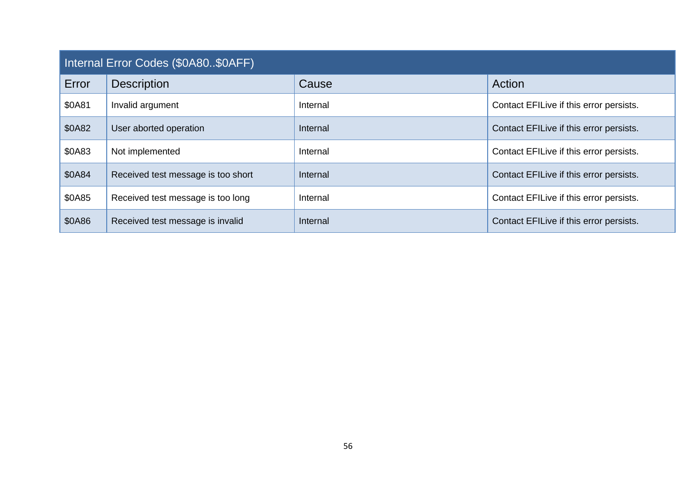<span id="page-55-0"></span>

| Internal Error Codes (\$0A80\$0AFF) |                                    |          |                                         |
|-------------------------------------|------------------------------------|----------|-----------------------------------------|
| Error                               | <b>Description</b>                 | Cause    | Action                                  |
| \$0A81                              | Invalid argument                   | Internal | Contact EFILive if this error persists. |
| \$0A82                              | User aborted operation             | Internal | Contact EFILive if this error persists. |
| \$0A83                              | Not implemented                    | Internal | Contact EFILive if this error persists. |
| \$0A84                              | Received test message is too short | Internal | Contact EFILive if this error persists. |
| \$0A85                              | Received test message is too long  | Internal | Contact EFILive if this error persists. |
| \$0A86                              | Received test message is invalid   | Internal | Contact EFILive if this error persists. |